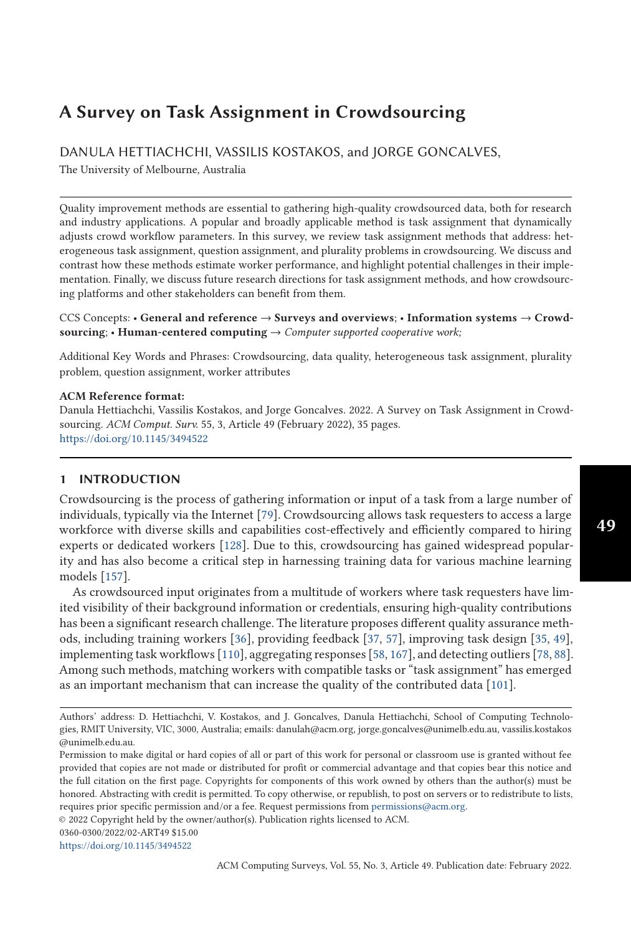# **A Survey on Task Assignment in Crowdsourcing**

# DANULA HETTIACHCHI, VASSILIS KOSTAKOS, and JORGE GONCALVES,

The University of Melbourne, Australia

Quality improvement methods are essential to gathering high-quality crowdsourced data, both for research and industry applications. A popular and broadly applicable method is task assignment that dynamically adjusts crowd workflow parameters. In this survey, we review task assignment methods that address: heterogeneous task assignment, question assignment, and plurality problems in crowdsourcing. We discuss and contrast how these methods estimate worker performance, and highlight potential challenges in their implementation. Finally, we discuss future research directions for task assignment methods, and how crowdsourcing platforms and other stakeholders can benefit from them.

CCS Concepts: • **General and reference** → **Surveys and overviews**; • **Information systems** → **Crowdsourcing**; • **Human-centered computing** → *Computer supported cooperative work;*

Additional Key Words and Phrases: Crowdsourcing, data quality, heterogeneous task assignment, plurality problem, question assignment, worker attributes

#### **ACM Reference format:**

Danula Hettiachchi, Vassilis Kostakos, and Jorge Goncalves. 2022. A Survey on Task Assignment in Crowdsourcing. *ACM Comput. Surv.* 55, 3, Article 49 (February 2022), 35 pages. <https://doi.org/10.1145/3494522>

### **1 INTRODUCTION**

Crowdsourcing is the process of gathering information or input of a task from a large number of individuals, typically via the Internet [\[79\]](#page-30-0). Crowdsourcing allows task requesters to access a large workforce with diverse skills and capabilities cost-effectively and efficiently compared to hiring experts or dedicated workers [\[128\]](#page-32-0). Due to this, crowdsourcing has gained widespread popularity and has also become a critical step in harnessing training data for various machine learning models [\[157\]](#page-34-0).

As crowdsourced input originates from a multitude of workers where task requesters have limited visibility of their background information or credentials, ensuring high-quality contributions has been a significant research challenge. The literature proposes different quality assurance methods, including training workers [\[36\]](#page-28-0), providing feedback [\[37,](#page-28-0) [57\]](#page-29-0), improving task design [\[35,](#page-28-0) [49\]](#page-28-0), implementing task workflows [\[110\]](#page-31-0), aggregating responses [\[58,](#page-29-0) [167\]](#page-34-0), and detecting outliers [\[78,](#page-30-0) [88\]](#page-30-0). Among such methods, matching workers with compatible tasks or "task assignment" has emerged as an important mechanism that can increase the quality of the contributed data [\[101\]](#page-31-0).

© 2022 Copyright held by the owner/author(s). Publication rights licensed to ACM.

0360-0300/2022/02-ART49 \$15.00

<https://doi.org/10.1145/3494522>

Authors' address: D. Hettiachchi, V. Kostakos, and J. Goncalves, Danula Hettiachchi, School of Computing Technologies, RMIT University, VIC, 3000, Australia; emails: danulah@acm.org, jorge.goncalves@unimelb.edu.au, vassilis.kostakos @unimelb.edu.au.

Permission to make digital or hard copies of all or part of this work for personal or classroom use is granted without fee provided that copies are not made or distributed for profit or commercial advantage and that copies bear this notice and the full citation on the first page. Copyrights for components of this work owned by others than the author(s) must be honored. Abstracting with credit is permitted. To copy otherwise, or republish, to post on servers or to redistribute to lists, requires prior specific permission and/or a fee. Request permissions from [permissions@acm.org.](mailto:permissions@acm.org)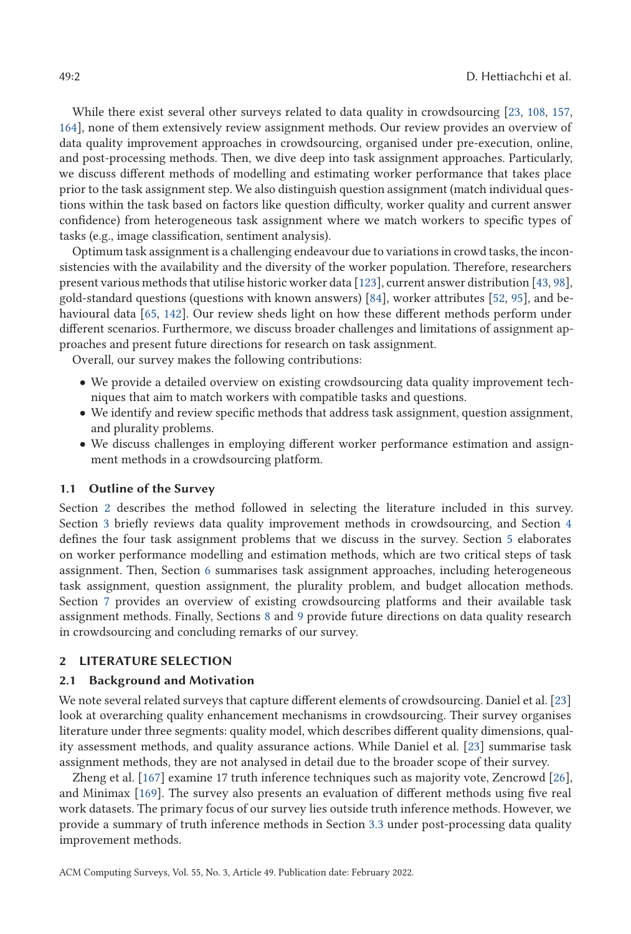While there exist several other surveys related to data quality in crowdsourcing [\[23,](#page-27-0) [108,](#page-31-0) [157,](#page-34-0) [164\]](#page-34-0), none of them extensively review assignment methods. Our review provides an overview of data quality improvement approaches in crowdsourcing, organised under pre-execution, online, and post-processing methods. Then, we dive deep into task assignment approaches. Particularly, we discuss different methods of modelling and estimating worker performance that takes place prior to the task assignment step. We also distinguish question assignment (match individual questions within the task based on factors like question difficulty, worker quality and current answer confidence) from heterogeneous task assignment where we match workers to specific types of tasks (e.g., image classification, sentiment analysis).

Optimum task assignment is a challenging endeavour due to variations in crowd tasks, the inconsistencies with the availability and the diversity of the worker population. Therefore, researchers present various methods that utilise historic worker data [\[123\]](#page-32-0), current answer distribution [\[43,](#page-28-0) [98\]](#page-31-0), gold-standard questions (questions with known answers) [\[84\]](#page-30-0), worker attributes [\[52,](#page-28-0) [95\]](#page-31-0), and behavioural data [\[65,](#page-29-0) [142\]](#page-33-0). Our review sheds light on how these different methods perform under different scenarios. Furthermore, we discuss broader challenges and limitations of assignment approaches and present future directions for research on task assignment.

Overall, our survey makes the following contributions:

- We provide a detailed overview on existing crowdsourcing data quality improvement techniques that aim to match workers with compatible tasks and questions.
- We identify and review specific methods that address task assignment, question assignment, and plurality problems.
- We discuss challenges in employing different worker performance estimation and assignment methods in a crowdsourcing platform.

### **1.1 Outline of the Survey**

Section 2 describes the method followed in selecting the literature included in this survey. Section [3](#page-3-0) briefly reviews data quality improvement methods in crowdsourcing, and Section [4](#page-7-0) defines the four task assignment problems that we discuss in the survey. Section [5](#page-9-0) elaborates on worker performance modelling and estimation methods, which are two critical steps of task assignment. Then, Section [6](#page-15-0) summarises task assignment approaches, including heterogeneous task assignment, question assignment, the plurality problem, and budget allocation methods. Section [7](#page-24-0) provides an overview of existing crowdsourcing platforms and their available task assignment methods. Finally, Sections [8](#page-24-0) and [9](#page-26-0) provide future directions on data quality research in crowdsourcing and concluding remarks of our survey.

#### **2 LITERATURE SELECTION**

#### **2.1 Background and Motivation**

We note several related surveys that capture different elements of crowdsourcing. Daniel et al. [\[23\]](#page-27-0) look at overarching quality enhancement mechanisms in crowdsourcing. Their survey organises literature under three segments: quality model, which describes different quality dimensions, quality assessment methods, and quality assurance actions. While Daniel et al. [\[23\]](#page-27-0) summarise task assignment methods, they are not analysed in detail due to the broader scope of their survey.

Zheng et al. [\[167\]](#page-34-0) examine 17 truth inference techniques such as majority vote, Zencrowd [\[26\]](#page-27-0), and Minimax [\[169\]](#page-34-0). The survey also presents an evaluation of different methods using five real work datasets. The primary focus of our survey lies outside truth inference methods. However, we provide a summary of truth inference methods in Section [3.3](#page-6-0) under post-processing data quality improvement methods.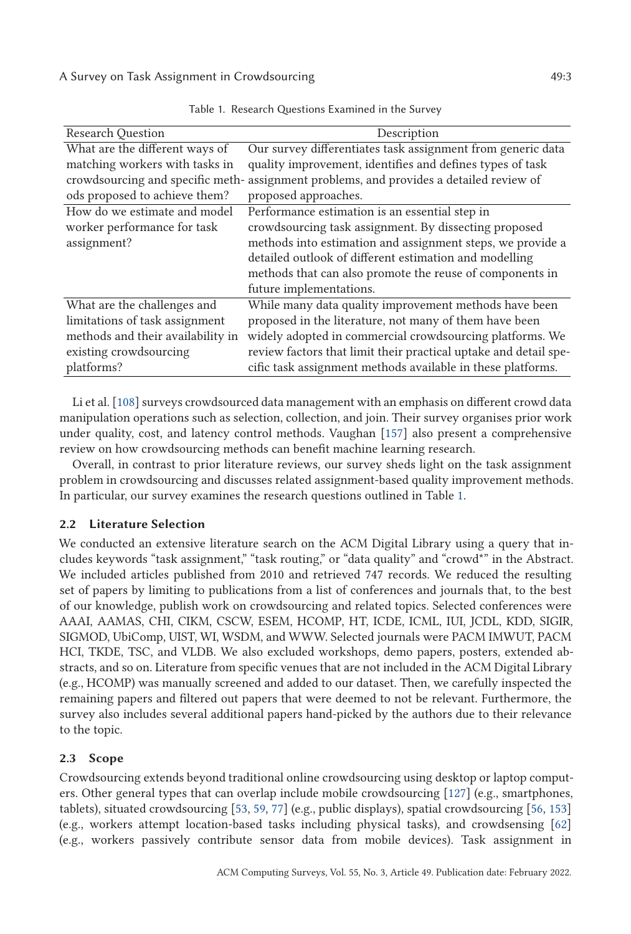| <b>Research Question</b>          | Description                                                                             |
|-----------------------------------|-----------------------------------------------------------------------------------------|
| What are the different ways of    | Our survey differentiates task assignment from generic data                             |
| matching workers with tasks in    | quality improvement, identifies and defines types of task                               |
|                                   | crowdsourcing and specific meth- assignment problems, and provides a detailed review of |
| ods proposed to achieve them?     | proposed approaches.                                                                    |
| How do we estimate and model      | Performance estimation is an essential step in                                          |
| worker performance for task       | crowdsourcing task assignment. By dissecting proposed                                   |
| assignment?                       | methods into estimation and assignment steps, we provide a                              |
|                                   | detailed outlook of different estimation and modelling                                  |
|                                   | methods that can also promote the reuse of components in                                |
|                                   | future implementations.                                                                 |
| What are the challenges and       | While many data quality improvement methods have been                                   |
| limitations of task assignment    | proposed in the literature, not many of them have been                                  |
| methods and their availability in | widely adopted in commercial crowdsourcing platforms. We                                |
| existing crowdsourcing            | review factors that limit their practical uptake and detail spe-                        |
| platforms?                        | cific task assignment methods available in these platforms.                             |

Table 1. Research Questions Examined in the Survey

Li et al. [\[108\]](#page-31-0) surveys crowdsourced data management with an emphasis on different crowd data manipulation operations such as selection, collection, and join. Their survey organises prior work under quality, cost, and latency control methods. Vaughan [\[157\]](#page-34-0) also present a comprehensive review on how crowdsourcing methods can benefit machine learning research.

Overall, in contrast to prior literature reviews, our survey sheds light on the task assignment problem in crowdsourcing and discusses related assignment-based quality improvement methods. In particular, our survey examines the research questions outlined in Table 1.

# **2.2 Literature Selection**

We conducted an extensive literature search on the ACM Digital Library using a query that includes keywords "task assignment," "task routing," or "data quality" and "crowd\*" in the Abstract. We included articles published from 2010 and retrieved 747 records. We reduced the resulting set of papers by limiting to publications from a list of conferences and journals that, to the best of our knowledge, publish work on crowdsourcing and related topics. Selected conferences were AAAI, AAMAS, CHI, CIKM, CSCW, ESEM, HCOMP, HT, ICDE, ICML, IUI, JCDL, KDD, SIGIR, SIGMOD, UbiComp, UIST, WI, WSDM, and WWW. Selected journals were PACM IMWUT, PACM HCI, TKDE, TSC, and VLDB. We also excluded workshops, demo papers, posters, extended abstracts, and so on. Literature from specific venues that are not included in the ACM Digital Library (e.g., HCOMP) was manually screened and added to our dataset. Then, we carefully inspected the remaining papers and filtered out papers that were deemed to not be relevant. Furthermore, the survey also includes several additional papers hand-picked by the authors due to their relevance to the topic.

# **2.3 Scope**

Crowdsourcing extends beyond traditional online crowdsourcing using desktop or laptop computers. Other general types that can overlap include mobile crowdsourcing [\[127\]](#page-32-0) (e.g., smartphones, tablets), situated crowdsourcing [\[53,](#page-28-0) [59,](#page-29-0) [77\]](#page-30-0) (e.g., public displays), spatial crowdsourcing [\[56,](#page-29-0) [153\]](#page-33-0) (e.g., workers attempt location-based tasks including physical tasks), and crowdsensing [\[62\]](#page-29-0) (e.g., workers passively contribute sensor data from mobile devices). Task assignment in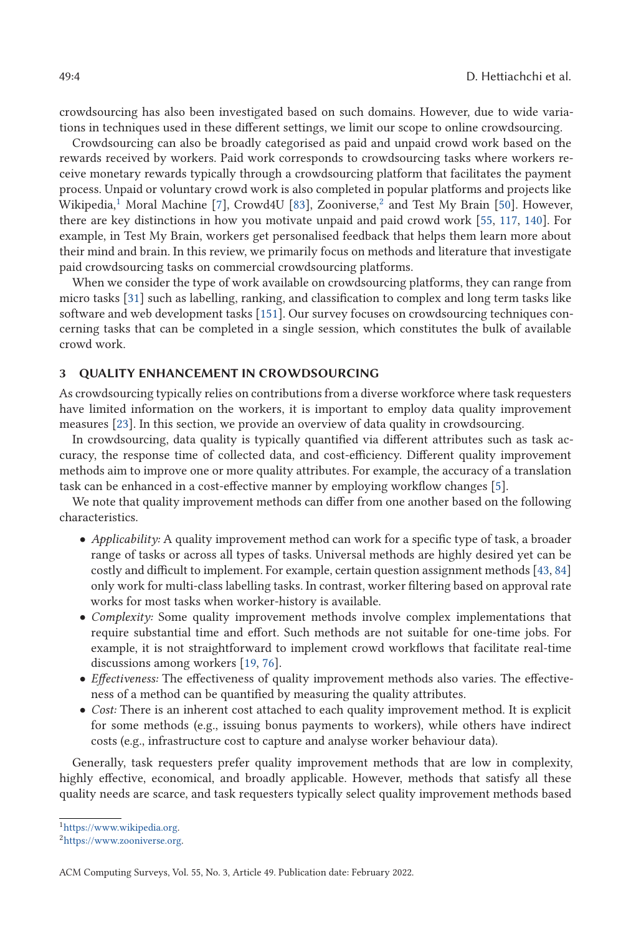<span id="page-3-0"></span>crowdsourcing has also been investigated based on such domains. However, due to wide variations in techniques used in these different settings, we limit our scope to online crowdsourcing.

Crowdsourcing can also be broadly categorised as paid and unpaid crowd work based on the rewards received by workers. Paid work corresponds to crowdsourcing tasks where workers receive monetary rewards typically through a crowdsourcing platform that facilitates the payment process. Unpaid or voluntary crowd work is also completed in popular platforms and projects like Wikipedia,<sup>1</sup> Moral Machine [\[7\]](#page-26-0), Crowd4U [\[83\]](#page-30-0), Zooniverse,<sup>2</sup> and Test My Brain [\[50\]](#page-28-0). However, there are key distinctions in how you motivate unpaid and paid crowd work [\[55,](#page-29-0) [117,](#page-32-0) [140\]](#page-33-0). For example, in Test My Brain, workers get personalised feedback that helps them learn more about their mind and brain. In this review, we primarily focus on methods and literature that investigate paid crowdsourcing tasks on commercial crowdsourcing platforms.

When we consider the type of work available on crowdsourcing platforms, they can range from micro tasks [\[31\]](#page-27-0) such as labelling, ranking, and classification to complex and long term tasks like software and web development tasks [\[151\]](#page-33-0). Our survey focuses on crowdsourcing techniques concerning tasks that can be completed in a single session, which constitutes the bulk of available crowd work.

### **3 QUALITY ENHANCEMENT IN CROWDSOURCING**

As crowdsourcing typically relies on contributions from a diverse workforce where task requesters have limited information on the workers, it is important to employ data quality improvement measures [\[23\]](#page-27-0). In this section, we provide an overview of data quality in crowdsourcing.

In crowdsourcing, data quality is typically quantified via different attributes such as task accuracy, the response time of collected data, and cost-efficiency. Different quality improvement methods aim to improve one or more quality attributes. For example, the accuracy of a translation task can be enhanced in a cost-effective manner by employing workflow changes [\[5\]](#page-26-0).

We note that quality improvement methods can differ from one another based on the following characteristics.

- *Applicability:* A quality improvement method can work for a specific type of task, a broader range of tasks or across all types of tasks. Universal methods are highly desired yet can be costly and difficult to implement. For example, certain question assignment methods [\[43,](#page-28-0) [84\]](#page-30-0) only work for multi-class labelling tasks. In contrast, worker filtering based on approval rate works for most tasks when worker-history is available.
- *Complexity:* Some quality improvement methods involve complex implementations that require substantial time and effort. Such methods are not suitable for one-time jobs. For example, it is not straightforward to implement crowd workflows that facilitate real-time discussions among workers [\[19,](#page-27-0) [76\]](#page-30-0).
- *Effectiveness:* The effectiveness of quality improvement methods also varies. The effectiveness of a method can be quantified by measuring the quality attributes.
- *Cost:* There is an inherent cost attached to each quality improvement method. It is explicit for some methods (e.g., issuing bonus payments to workers), while others have indirect costs (e.g., infrastructure cost to capture and analyse worker behaviour data).

Generally, task requesters prefer quality improvement methods that are low in complexity, highly effective, economical, and broadly applicable. However, methods that satisfy all these quality needs are scarce, and task requesters typically select quality improvement methods based

[<sup>1</sup>https://www.wikipedia.org.](https://www.wikipedia.org)

[<sup>2</sup>https://www.zooniverse.org.](https://www.zooniverse.org)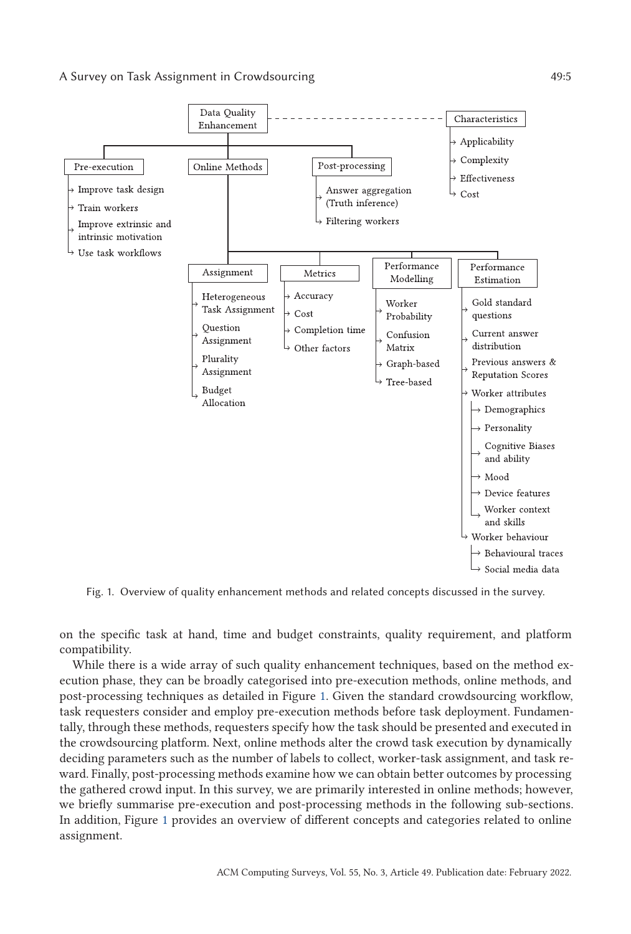### A Survey on Task Assignment in Crowdsourcing  $49:5$



Fig. 1. Overview of quality enhancement methods and related concepts discussed in the survey.

on the specific task at hand, time and budget constraints, quality requirement, and platform compatibility.

While there is a wide array of such quality enhancement techniques, based on the method execution phase, they can be broadly categorised into pre-execution methods, online methods, and post-processing techniques as detailed in Figure 1. Given the standard crowdsourcing workflow, task requesters consider and employ pre-execution methods before task deployment. Fundamentally, through these methods, requesters specify how the task should be presented and executed in the crowdsourcing platform. Next, online methods alter the crowd task execution by dynamically deciding parameters such as the number of labels to collect, worker-task assignment, and task reward. Finally, post-processing methods examine how we can obtain better outcomes by processing the gathered crowd input. In this survey, we are primarily interested in online methods; however, we briefly summarise pre-execution and post-processing methods in the following sub-sections. In addition, Figure 1 provides an overview of different concepts and categories related to online assignment.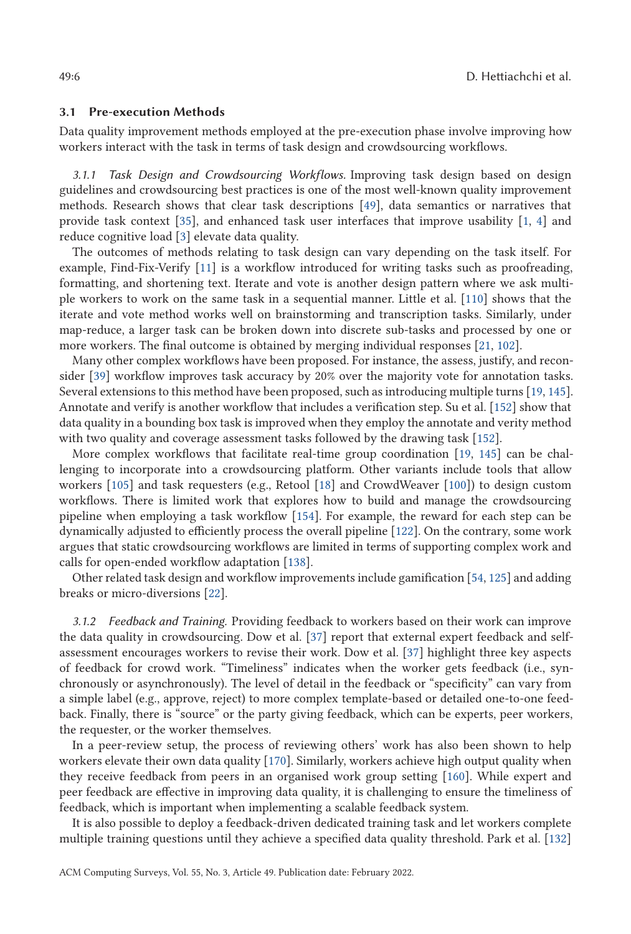#### **3.1 Pre-execution Methods**

Data quality improvement methods employed at the pre-execution phase involve improving how workers interact with the task in terms of task design and crowdsourcing workflows.

*3.1.1 Task Design and Crowdsourcing Workflows.* Improving task design based on design guidelines and crowdsourcing best practices is one of the most well-known quality improvement methods. Research shows that clear task descriptions [\[49\]](#page-28-0), data semantics or narratives that provide task context [\[35\]](#page-28-0), and enhanced task user interfaces that improve usability [\[1,](#page-26-0) [4\]](#page-26-0) and reduce cognitive load [\[3\]](#page-26-0) elevate data quality.

The outcomes of methods relating to task design can vary depending on the task itself. For example, Find-Fix-Verify [\[11\]](#page-26-0) is a workflow introduced for writing tasks such as proofreading, formatting, and shortening text. Iterate and vote is another design pattern where we ask multiple workers to work on the same task in a sequential manner. Little et al. [\[110\]](#page-31-0) shows that the iterate and vote method works well on brainstorming and transcription tasks. Similarly, under map-reduce, a larger task can be broken down into discrete sub-tasks and processed by one or more workers. The final outcome is obtained by merging individual responses [\[21,](#page-27-0) [102\]](#page-31-0).

Many other complex workflows have been proposed. For instance, the assess, justify, and reconsider [\[39\]](#page-28-0) workflow improves task accuracy by 20% over the majority vote for annotation tasks. Several extensions to this method have been proposed, such as introducing multiple turns [\[19,](#page-27-0) [145\]](#page-33-0). Annotate and verify is another workflow that includes a verification step. Su et al. [\[152\]](#page-33-0) show that data quality in a bounding box task is improved when they employ the annotate and verity method with two quality and coverage assessment tasks followed by the drawing task [\[152\]](#page-33-0).

More complex workflows that facilitate real-time group coordination [\[19,](#page-27-0) [145\]](#page-33-0) can be challenging to incorporate into a crowdsourcing platform. Other variants include tools that allow workers [\[105\]](#page-31-0) and task requesters (e.g., Retool [\[18\]](#page-27-0) and CrowdWeaver [\[100\]](#page-31-0)) to design custom workflows. There is limited work that explores how to build and manage the crowdsourcing pipeline when employing a task workflow [\[154\]](#page-33-0). For example, the reward for each step can be dynamically adjusted to efficiently process the overall pipeline [\[122\]](#page-32-0). On the contrary, some work argues that static crowdsourcing workflows are limited in terms of supporting complex work and calls for open-ended workflow adaptation [\[138\]](#page-33-0).

Other related task design and workflow improvements include gamification [\[54,](#page-29-0) [125\]](#page-32-0) and adding breaks or micro-diversions [\[22\]](#page-27-0).

*3.1.2 Feedback and Training.* Providing feedback to workers based on their work can improve the data quality in crowdsourcing. Dow et al. [\[37\]](#page-28-0) report that external expert feedback and selfassessment encourages workers to revise their work. Dow et al. [\[37\]](#page-28-0) highlight three key aspects of feedback for crowd work. "Timeliness" indicates when the worker gets feedback (i.e., synchronously or asynchronously). The level of detail in the feedback or "specificity" can vary from a simple label (e.g., approve, reject) to more complex template-based or detailed one-to-one feedback. Finally, there is "source" or the party giving feedback, which can be experts, peer workers, the requester, or the worker themselves.

In a peer-review setup, the process of reviewing others' work has also been shown to help workers elevate their own data quality [\[170\]](#page-34-0). Similarly, workers achieve high output quality when they receive feedback from peers in an organised work group setting [\[160\]](#page-34-0). While expert and peer feedback are effective in improving data quality, it is challenging to ensure the timeliness of feedback, which is important when implementing a scalable feedback system.

It is also possible to deploy a feedback-driven dedicated training task and let workers complete multiple training questions until they achieve a specified data quality threshold. Park et al. [\[132\]](#page-32-0)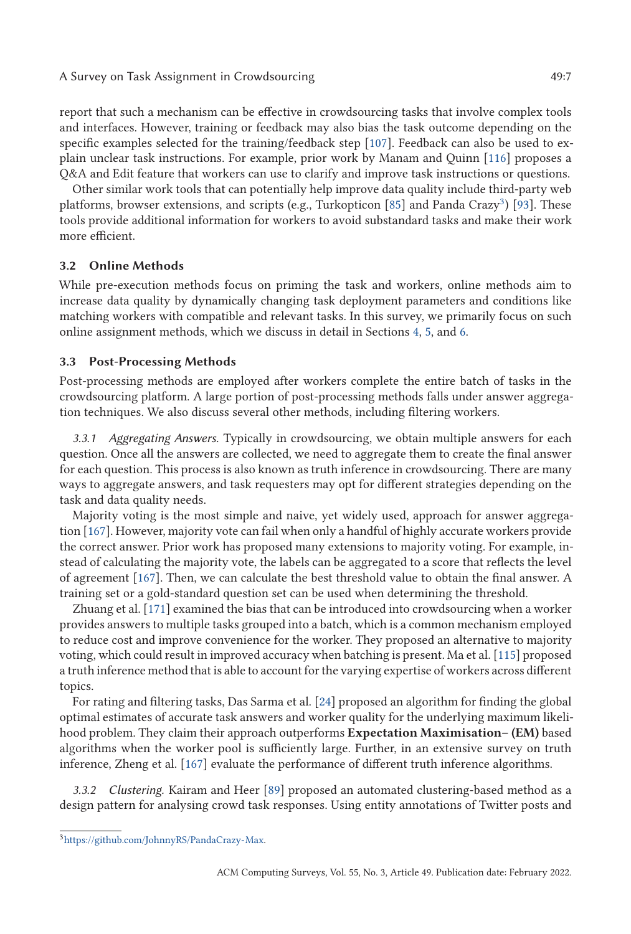<span id="page-6-0"></span>A Survey on Task Assignment in Crowdsourcing  $49:7$ 

report that such a mechanism can be effective in crowdsourcing tasks that involve complex tools and interfaces. However, training or feedback may also bias the task outcome depending on the specific examples selected for the training/feedback step [\[107\]](#page-31-0). Feedback can also be used to explain unclear task instructions. For example, prior work by Manam and Quinn [\[116\]](#page-32-0) proposes a Q&A and Edit feature that workers can use to clarify and improve task instructions or questions.

Other similar work tools that can potentially help improve data quality include third-party web platforms, browser extensions, and scripts (e.g., Turkopticon [\[85\]](#page-30-0) and Panda Crazy<sup>3</sup>) [\[93\]](#page-30-0). These tools provide additional information for workers to avoid substandard tasks and make their work more efficient.

## **3.2 Online Methods**

While pre-execution methods focus on priming the task and workers, online methods aim to increase data quality by dynamically changing task deployment parameters and conditions like matching workers with compatible and relevant tasks. In this survey, we primarily focus on such online assignment methods, which we discuss in detail in Sections [4,](#page-7-0) [5,](#page-9-0) and [6.](#page-15-0)

## **3.3 Post-Processing Methods**

Post-processing methods are employed after workers complete the entire batch of tasks in the crowdsourcing platform. A large portion of post-processing methods falls under answer aggregation techniques. We also discuss several other methods, including filtering workers.

*3.3.1 Aggregating Answers.* Typically in crowdsourcing, we obtain multiple answers for each question. Once all the answers are collected, we need to aggregate them to create the final answer for each question. This process is also known as truth inference in crowdsourcing. There are many ways to aggregate answers, and task requesters may opt for different strategies depending on the task and data quality needs.

Majority voting is the most simple and naive, yet widely used, approach for answer aggregation [\[167\]](#page-34-0). However, majority vote can fail when only a handful of highly accurate workers provide the correct answer. Prior work has proposed many extensions to majority voting. For example, instead of calculating the majority vote, the labels can be aggregated to a score that reflects the level of agreement [\[167\]](#page-34-0). Then, we can calculate the best threshold value to obtain the final answer. A training set or a gold-standard question set can be used when determining the threshold.

Zhuang et al. [\[171\]](#page-34-0) examined the bias that can be introduced into crowdsourcing when a worker provides answers to multiple tasks grouped into a batch, which is a common mechanism employed to reduce cost and improve convenience for the worker. They proposed an alternative to majority voting, which could result in improved accuracy when batching is present. Ma et al. [\[115\]](#page-32-0) proposed a truth inference method that is able to account for the varying expertise of workers across different topics.

For rating and filtering tasks, Das Sarma et al. [\[24\]](#page-27-0) proposed an algorithm for finding the global optimal estimates of accurate task answers and worker quality for the underlying maximum likelihood problem. They claim their approach outperforms **Expectation Maximisation– (EM)** based algorithms when the worker pool is sufficiently large. Further, in an extensive survey on truth inference, Zheng et al. [\[167\]](#page-34-0) evaluate the performance of different truth inference algorithms.

*3.3.2 Clustering.* Kairam and Heer [\[89\]](#page-30-0) proposed an automated clustering-based method as a design pattern for analysing crowd task responses. Using entity annotations of Twitter posts and

[<sup>3</sup>https://github.com/JohnnyRS/PandaCrazy-Max.](https://github.com/JohnnyRS/PandaCrazy-Max)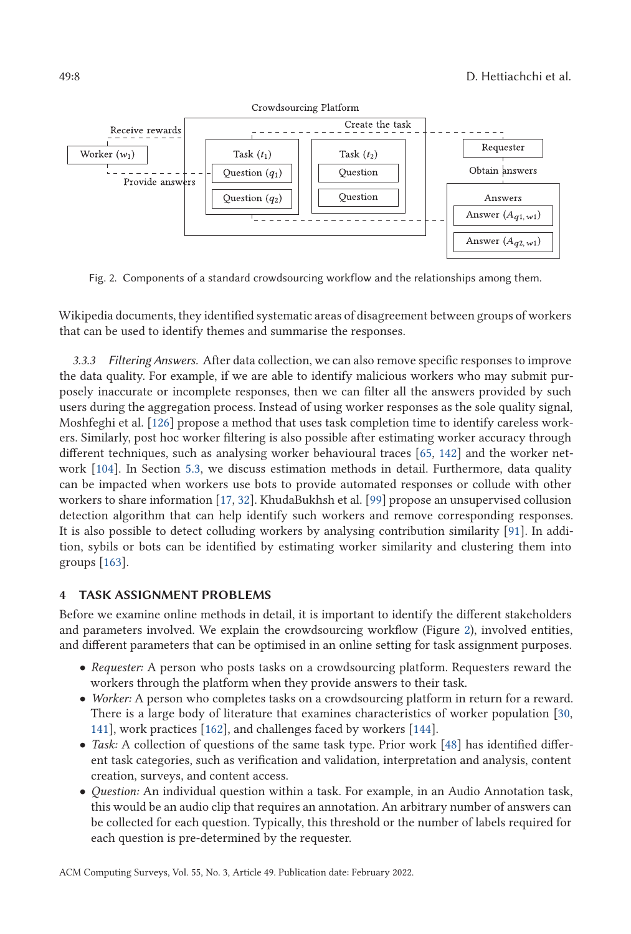<span id="page-7-0"></span>

Fig. 2. Components of a standard crowdsourcing workflow and the relationships among them.

Wikipedia documents, they identified systematic areas of disagreement between groups of workers that can be used to identify themes and summarise the responses.

*3.3.3 Filtering Answers.* After data collection, we can also remove specific responses to improve the data quality. For example, if we are able to identify malicious workers who may submit purposely inaccurate or incomplete responses, then we can filter all the answers provided by such users during the aggregation process. Instead of using worker responses as the sole quality signal, Moshfeghi et al. [\[126\]](#page-32-0) propose a method that uses task completion time to identify careless workers. Similarly, post hoc worker filtering is also possible after estimating worker accuracy through different techniques, such as analysing worker behavioural traces [\[65,](#page-29-0) [142\]](#page-33-0) and the worker network [\[104\]](#page-31-0). In Section [5.3,](#page-11-0) we discuss estimation methods in detail. Furthermore, data quality can be impacted when workers use bots to provide automated responses or collude with other workers to share information [\[17,](#page-27-0) [32\]](#page-27-0). KhudaBukhsh et al. [\[99\]](#page-31-0) propose an unsupervised collusion detection algorithm that can help identify such workers and remove corresponding responses. It is also possible to detect colluding workers by analysing contribution similarity [\[91\]](#page-30-0). In addition, sybils or bots can be identified by estimating worker similarity and clustering them into groups [\[163\]](#page-34-0).

# **4 TASK ASSIGNMENT PROBLEMS**

Before we examine online methods in detail, it is important to identify the different stakeholders and parameters involved. We explain the crowdsourcing workflow (Figure 2), involved entities, and different parameters that can be optimised in an online setting for task assignment purposes.

- *Requester:* A person who posts tasks on a crowdsourcing platform. Requesters reward the workers through the platform when they provide answers to their task.
- *Worker:* A person who completes tasks on a crowdsourcing platform in return for a reward. There is a large body of literature that examines characteristics of worker population [\[30,](#page-27-0) [141\]](#page-33-0), work practices [\[162\]](#page-34-0), and challenges faced by workers [\[144\]](#page-33-0).
- *Task:* A collection of questions of the same task type. Prior work [\[48\]](#page-28-0) has identified different task categories, such as verification and validation, interpretation and analysis, content creation, surveys, and content access.
- *Question:* An individual question within a task. For example, in an Audio Annotation task, this would be an audio clip that requires an annotation. An arbitrary number of answers can be collected for each question. Typically, this threshold or the number of labels required for each question is pre-determined by the requester.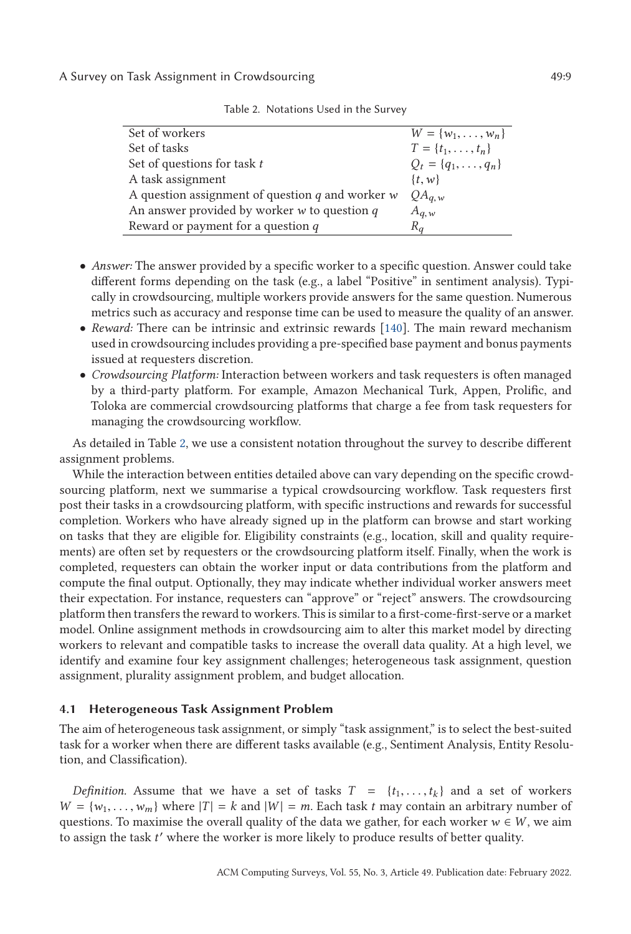A Survey on Task Assignment in Crowdsourcing  $49:9$ 

| Set of workers                                       | $W = \{w_1, \ldots, w_n\}$   |
|------------------------------------------------------|------------------------------|
| Set of tasks                                         | $T = \{t_1, \ldots, t_n\}$   |
| Set of questions for task $t$                        | $Q_t = \{q_1, \ldots, q_n\}$ |
| A task assignment                                    | $\{t, w\}$                   |
| A question assignment of question $q$ and worker $w$ | $QA_{q,w}$                   |
| An answer provided by worker $w$ to question $q$     | $A_{q,w}$                    |
| Reward or payment for a question $q$                 | $R_q$                        |

Table 2. Notations Used in the Survey

- *Answer:* The answer provided by a specific worker to a specific question. Answer could take different forms depending on the task (e.g., a label "Positive" in sentiment analysis). Typically in crowdsourcing, multiple workers provide answers for the same question. Numerous metrics such as accuracy and response time can be used to measure the quality of an answer.
- *Reward:* There can be intrinsic and extrinsic rewards [\[140\]](#page-33-0). The main reward mechanism used in crowdsourcing includes providing a pre-specified base payment and bonus payments issued at requesters discretion.
- *Crowdsourcing Platform:* Interaction between workers and task requesters is often managed by a third-party platform. For example, Amazon Mechanical Turk, Appen, Prolific, and Toloka are commercial crowdsourcing platforms that charge a fee from task requesters for managing the crowdsourcing workflow.

As detailed in Table 2, we use a consistent notation throughout the survey to describe different assignment problems.

While the interaction between entities detailed above can vary depending on the specific crowdsourcing platform, next we summarise a typical crowdsourcing workflow. Task requesters first post their tasks in a crowdsourcing platform, with specific instructions and rewards for successful completion. Workers who have already signed up in the platform can browse and start working on tasks that they are eligible for. Eligibility constraints (e.g., location, skill and quality requirements) are often set by requesters or the crowdsourcing platform itself. Finally, when the work is completed, requesters can obtain the worker input or data contributions from the platform and compute the final output. Optionally, they may indicate whether individual worker answers meet their expectation. For instance, requesters can "approve" or "reject" answers. The crowdsourcing platform then transfers the reward to workers. This is similar to a first-come-first-serve or a market model. Online assignment methods in crowdsourcing aim to alter this market model by directing workers to relevant and compatible tasks to increase the overall data quality. At a high level, we identify and examine four key assignment challenges; heterogeneous task assignment, question assignment, plurality assignment problem, and budget allocation.

### **4.1 Heterogeneous Task Assignment Problem**

The aim of heterogeneous task assignment, or simply "task assignment," is to select the best-suited task for a worker when there are different tasks available (e.g., Sentiment Analysis, Entity Resolution, and Classification).

*Definition.* Assume that we have a set of tasks  $T = \{t_1, \ldots, t_k\}$  and a set of workers  $W = \{w_1, \ldots, w_m\}$  where  $|T| = k$  and  $|W| = m$ . Each task *t* may contain an arbitrary number of questions. To maximise the overall quality of the data we gather, for each worker  $w \in W$ , we aim to assign the task *t* where the worker is more likely to produce results of better quality.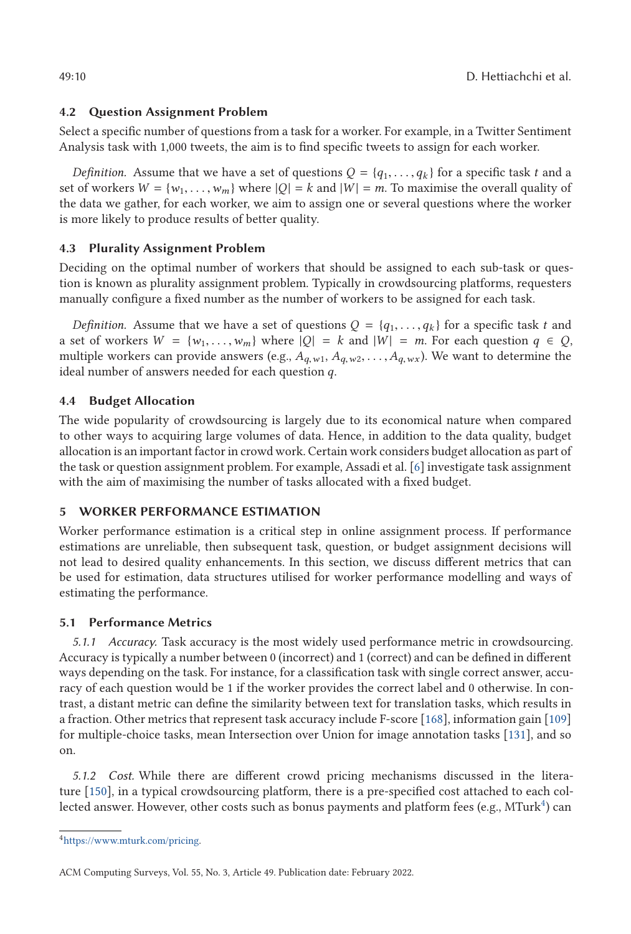# <span id="page-9-0"></span>**4.2 Question Assignment Problem**

Select a specific number of questions from a task for a worker. For example, in a Twitter Sentiment Analysis task with 1,000 tweets, the aim is to find specific tweets to assign for each worker.

*Definition.* Assume that we have a set of questions  $Q = \{q_1, \ldots, q_k\}$  for a specific task *t* and a set of workers  $W = \{w_1, \ldots, w_m\}$  where  $|Q| = k$  and  $|W| = m$ . To maximise the overall quality of the data we gather, for each worker, we aim to assign one or several questions where the worker is more likely to produce results of better quality.

# **4.3 Plurality Assignment Problem**

Deciding on the optimal number of workers that should be assigned to each sub-task or question is known as plurality assignment problem. Typically in crowdsourcing platforms, requesters manually configure a fixed number as the number of workers to be assigned for each task.

*Definition.* Assume that we have a set of questions  $Q = \{q_1, \ldots, q_k\}$  for a specific task t and a set of workers  $W = \{w_1, \ldots, w_m\}$  where  $|Q| = k$  and  $|W| = m$ . For each question  $q \in Q$ , multiple workers can provide answers (e.g.,  $A_{q,w1}$ ,  $A_{q,w2}$ , ...,  $A_{q,wx}$ ). We want to determine the ideal number of answers needed for each question *q*.

# **4.4 Budget Allocation**

The wide popularity of crowdsourcing is largely due to its economical nature when compared to other ways to acquiring large volumes of data. Hence, in addition to the data quality, budget allocation is an important factor in crowd work. Certain work considers budget allocation as part of the task or question assignment problem. For example, Assadi et al. [\[6\]](#page-26-0) investigate task assignment with the aim of maximising the number of tasks allocated with a fixed budget.

# **5 WORKER PERFORMANCE ESTIMATION**

Worker performance estimation is a critical step in online assignment process. If performance estimations are unreliable, then subsequent task, question, or budget assignment decisions will not lead to desired quality enhancements. In this section, we discuss different metrics that can be used for estimation, data structures utilised for worker performance modelling and ways of estimating the performance.

# **5.1 Performance Metrics**

*5.1.1 Accuracy.* Task accuracy is the most widely used performance metric in crowdsourcing. Accuracy is typically a number between 0 (incorrect) and 1 (correct) and can be defined in different ways depending on the task. For instance, for a classification task with single correct answer, accuracy of each question would be 1 if the worker provides the correct label and 0 otherwise. In contrast, a distant metric can define the similarity between text for translation tasks, which results in a fraction. Other metrics that represent task accuracy include F-score [\[168\]](#page-34-0), information gain [\[109\]](#page-31-0) for multiple-choice tasks, mean Intersection over Union for image annotation tasks [\[131\]](#page-32-0), and so on.

*5.1.2 Cost.* While there are different crowd pricing mechanisms discussed in the literature [\[150\]](#page-33-0), in a typical crowdsourcing platform, there is a pre-specified cost attached to each collected answer. However, other costs such as bonus payments and platform fees (e.g.,  $MTurk<sup>4</sup>$ ) can

[<sup>4</sup>https://www.mturk.com/pricing.](https://www.mturk.com/pricing)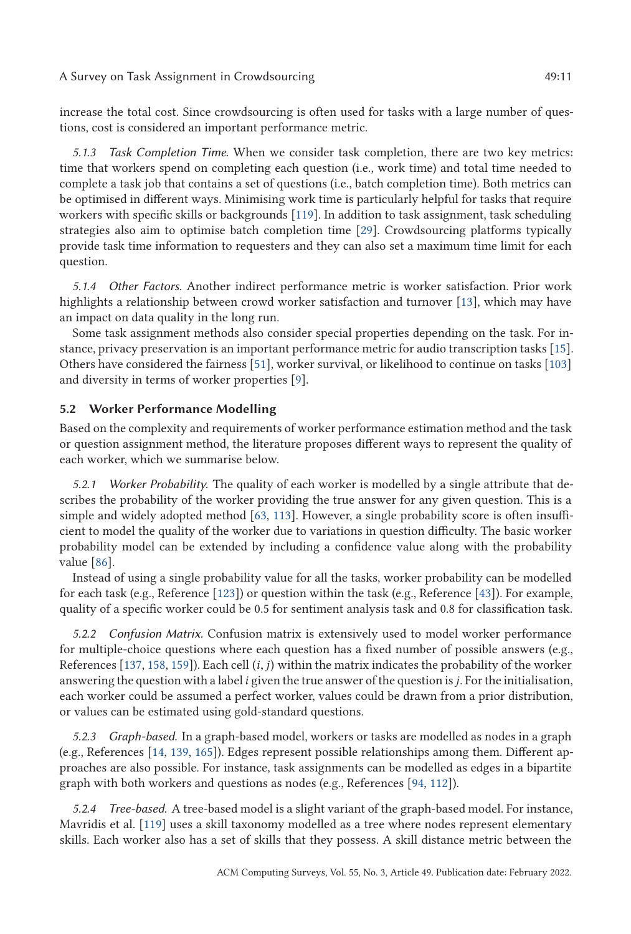A Survey on Task Assignment in Crowdsourcing  $\sim$  49:11

increase the total cost. Since crowdsourcing is often used for tasks with a large number of questions, cost is considered an important performance metric.

*5.1.3 Task Completion Time.* When we consider task completion, there are two key metrics: time that workers spend on completing each question (i.e., work time) and total time needed to complete a task job that contains a set of questions (i.e., batch completion time). Both metrics can be optimised in different ways. Minimising work time is particularly helpful for tasks that require workers with specific skills or backgrounds [\[119\]](#page-32-0). In addition to task assignment, task scheduling strategies also aim to optimise batch completion time [\[29\]](#page-27-0). Crowdsourcing platforms typically provide task time information to requesters and they can also set a maximum time limit for each question.

*5.1.4 Other Factors.* Another indirect performance metric is worker satisfaction. Prior work highlights a relationship between crowd worker satisfaction and turnover [\[13\]](#page-27-0), which may have an impact on data quality in the long run.

Some task assignment methods also consider special properties depending on the task. For instance, privacy preservation is an important performance metric for audio transcription tasks [\[15\]](#page-27-0). Others have considered the fairness [\[51\]](#page-28-0), worker survival, or likelihood to continue on tasks [\[103\]](#page-31-0) and diversity in terms of worker properties [\[9\]](#page-26-0).

## **5.2 Worker Performance Modelling**

Based on the complexity and requirements of worker performance estimation method and the task or question assignment method, the literature proposes different ways to represent the quality of each worker, which we summarise below.

*5.2.1 Worker Probability.* The quality of each worker is modelled by a single attribute that describes the probability of the worker providing the true answer for any given question. This is a simple and widely adopted method [\[63,](#page-29-0) [113\]](#page-31-0). However, a single probability score is often insufficient to model the quality of the worker due to variations in question difficulty. The basic worker probability model can be extended by including a confidence value along with the probability value [\[86\]](#page-30-0).

Instead of using a single probability value for all the tasks, worker probability can be modelled for each task (e.g., Reference [\[123\]](#page-32-0)) or question within the task (e.g., Reference [\[43\]](#page-28-0)). For example, quality of a specific worker could be 0.5 for sentiment analysis task and 0.8 for classification task.

*5.2.2 Confusion Matrix.* Confusion matrix is extensively used to model worker performance for multiple-choice questions where each question has a fixed number of possible answers (e.g., References [\[137,](#page-33-0) [158,](#page-34-0) [159\]](#page-34-0)). Each cell (*i*, *<sup>j</sup>*) within the matrix indicates the probability of the worker answering the question with a label*i* given the true answer of the question is*j*. For the initialisation, each worker could be assumed a perfect worker, values could be drawn from a prior distribution, or values can be estimated using gold-standard questions.

*5.2.3 Graph-based.* In a graph-based model, workers or tasks are modelled as nodes in a graph (e.g., References [\[14,](#page-27-0) [139,](#page-33-0) [165\]](#page-34-0)). Edges represent possible relationships among them. Different approaches are also possible. For instance, task assignments can be modelled as edges in a bipartite graph with both workers and questions as nodes (e.g., References [\[94,](#page-31-0) [112\]](#page-31-0)).

*5.2.4 Tree-based.* A tree-based model is a slight variant of the graph-based model. For instance, Mavridis et al. [\[119\]](#page-32-0) uses a skill taxonomy modelled as a tree where nodes represent elementary skills. Each worker also has a set of skills that they possess. A skill distance metric between the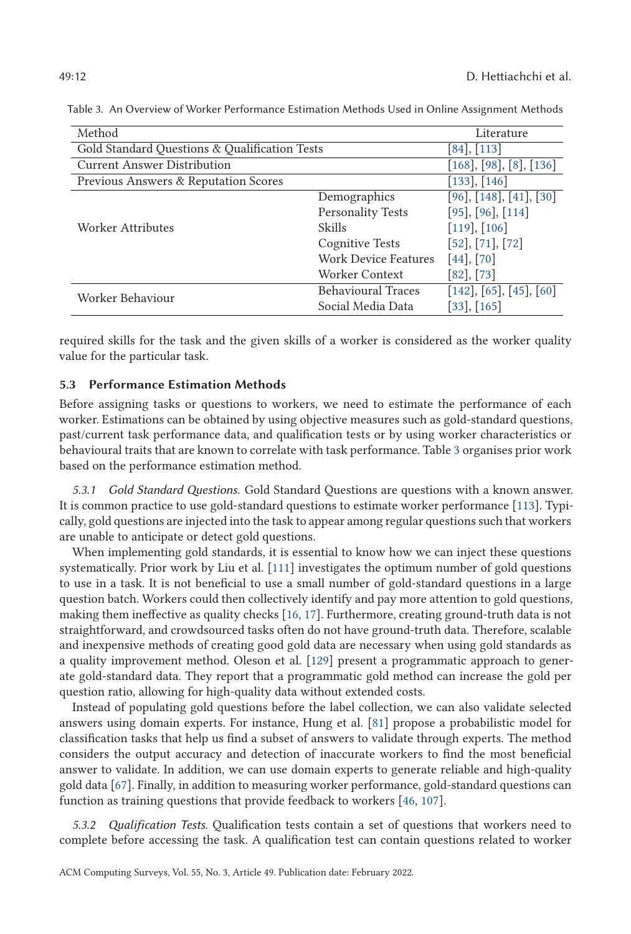| Method                                        |                             | Literature                 |
|-----------------------------------------------|-----------------------------|----------------------------|
|                                               |                             |                            |
| Gold Standard Questions & Qualification Tests |                             | [84], [113]                |
| <b>Current Answer Distribution</b>            |                             | [168], [98], [8], [136]    |
| Previous Answers & Reputation Scores          |                             | [133], [146]               |
|                                               | Demographics                | $[96]$ , [148], [41], [30] |
|                                               | <b>Personality Tests</b>    | $[95]$ , $[96]$ , $[114]$  |
| Worker Attributes                             | Skills                      | $[119]$ , $[106]$          |
|                                               | <b>Cognitive Tests</b>      | [52], [71], [72]           |
|                                               | <b>Work Device Features</b> | $[44]$ , $[70]$            |
|                                               | Worker Context              | [82], [73]                 |
| Worker Behaviour                              | <b>Behavioural Traces</b>   | [142], [65], [45], [60]    |
|                                               | Social Media Data           | $[33]$ , $[165]$           |

<span id="page-11-0"></span>Table 3. An Overview of Worker Performance Estimation Methods Used in Online Assignment Methods

required skills for the task and the given skills of a worker is considered as the worker quality value for the particular task.

# **5.3 Performance Estimation Methods**

Before assigning tasks or questions to workers, we need to estimate the performance of each worker. Estimations can be obtained by using objective measures such as gold-standard questions, past/current task performance data, and qualification tests or by using worker characteristics or behavioural traits that are known to correlate with task performance. Table 3 organises prior work based on the performance estimation method.

*5.3.1 Gold Standard Questions.* Gold Standard Questions are questions with a known answer. It is common practice to use gold-standard questions to estimate worker performance [\[113\]](#page-31-0). Typically, gold questions are injected into the task to appear among regular questions such that workers are unable to anticipate or detect gold questions.

When implementing gold standards, it is essential to know how we can inject these questions systematically. Prior work by Liu et al. [\[111\]](#page-31-0) investigates the optimum number of gold questions to use in a task. It is not beneficial to use a small number of gold-standard questions in a large question batch. Workers could then collectively identify and pay more attention to gold questions, making them ineffective as quality checks [\[16,](#page-27-0) [17\]](#page-27-0). Furthermore, creating ground-truth data is not straightforward, and crowdsourced tasks often do not have ground-truth data. Therefore, scalable and inexpensive methods of creating good gold data are necessary when using gold standards as a quality improvement method. Oleson et al. [\[129\]](#page-32-0) present a programmatic approach to generate gold-standard data. They report that a programmatic gold method can increase the gold per question ratio, allowing for high-quality data without extended costs.

Instead of populating gold questions before the label collection, we can also validate selected answers using domain experts. For instance, Hung et al. [\[81\]](#page-30-0) propose a probabilistic model for classification tasks that help us find a subset of answers to validate through experts. The method considers the output accuracy and detection of inaccurate workers to find the most beneficial answer to validate. In addition, we can use domain experts to generate reliable and high-quality gold data [\[67\]](#page-29-0). Finally, in addition to measuring worker performance, gold-standard questions can function as training questions that provide feedback to workers [\[46,](#page-28-0) [107\]](#page-31-0).

*5.3.2 Qualification Tests.* Qualification tests contain a set of questions that workers need to complete before accessing the task. A qualification test can contain questions related to worker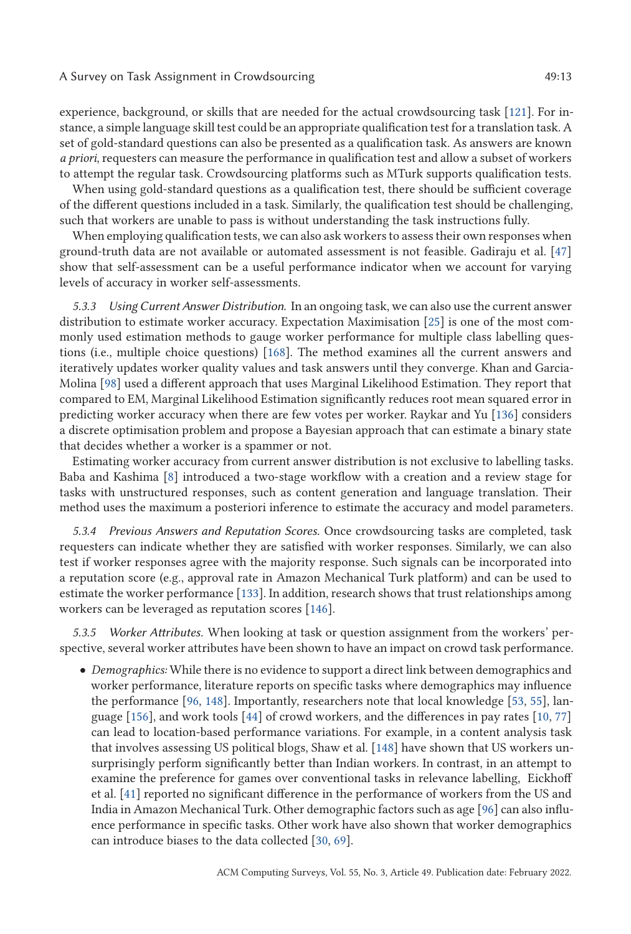#### A Survey on Task Assignment in Crowdsourcing  $\sim$  49:13

experience, background, or skills that are needed for the actual crowdsourcing task [\[121\]](#page-32-0). For instance, a simple language skill test could be an appropriate qualification test for a translation task. A set of gold-standard questions can also be presented as a qualification task. As answers are known *a priori*, requesters can measure the performance in qualification test and allow a subset of workers to attempt the regular task. Crowdsourcing platforms such as MTurk supports qualification tests.

When using gold-standard questions as a qualification test, there should be sufficient coverage of the different questions included in a task. Similarly, the qualification test should be challenging, such that workers are unable to pass is without understanding the task instructions fully.

When employing qualification tests, we can also ask workers to assess their own responses when ground-truth data are not available or automated assessment is not feasible. Gadiraju et al. [\[47\]](#page-28-0) show that self-assessment can be a useful performance indicator when we account for varying levels of accuracy in worker self-assessments.

*5.3.3 Using Current Answer Distribution.* In an ongoing task, we can also use the current answer distribution to estimate worker accuracy. Expectation Maximisation [\[25\]](#page-27-0) is one of the most commonly used estimation methods to gauge worker performance for multiple class labelling questions (i.e., multiple choice questions) [\[168\]](#page-34-0). The method examines all the current answers and iteratively updates worker quality values and task answers until they converge. Khan and Garcia-Molina [\[98\]](#page-31-0) used a different approach that uses Marginal Likelihood Estimation. They report that compared to EM, Marginal Likelihood Estimation significantly reduces root mean squared error in predicting worker accuracy when there are few votes per worker. Raykar and Yu [\[136\]](#page-33-0) considers a discrete optimisation problem and propose a Bayesian approach that can estimate a binary state that decides whether a worker is a spammer or not.

Estimating worker accuracy from current answer distribution is not exclusive to labelling tasks. Baba and Kashima [\[8\]](#page-26-0) introduced a two-stage workflow with a creation and a review stage for tasks with unstructured responses, such as content generation and language translation. Their method uses the maximum a posteriori inference to estimate the accuracy and model parameters.

*5.3.4 Previous Answers and Reputation Scores.* Once crowdsourcing tasks are completed, task requesters can indicate whether they are satisfied with worker responses. Similarly, we can also test if worker responses agree with the majority response. Such signals can be incorporated into a reputation score (e.g., approval rate in Amazon Mechanical Turk platform) and can be used to estimate the worker performance [\[133\]](#page-32-0). In addition, research shows that trust relationships among workers can be leveraged as reputation scores [\[146\]](#page-33-0).

*5.3.5 Worker Attributes.* When looking at task or question assignment from the workers' perspective, several worker attributes have been shown to have an impact on crowd task performance.

• *Demographics:* While there is no evidence to support a direct link between demographics and worker performance, literature reports on specific tasks where demographics may influence the performance [\[96,](#page-31-0) [148\]](#page-33-0). Importantly, researchers note that local knowledge [\[53,](#page-28-0) [55\]](#page-29-0), language [\[156\]](#page-34-0), and work tools [\[44\]](#page-28-0) of crowd workers, and the differences in pay rates [\[10,](#page-26-0) [77\]](#page-30-0) can lead to location-based performance variations. For example, in a content analysis task that involves assessing US political blogs, Shaw et al. [\[148\]](#page-33-0) have shown that US workers unsurprisingly perform significantly better than Indian workers. In contrast, in an attempt to examine the preference for games over conventional tasks in relevance labelling, Eickhoff et al. [\[41\]](#page-28-0) reported no significant difference in the performance of workers from the US and India in Amazon Mechanical Turk. Other demographic factors such as age [\[96\]](#page-31-0) can also influence performance in specific tasks. Other work have also shown that worker demographics can introduce biases to the data collected [\[30,](#page-27-0) [69\]](#page-29-0).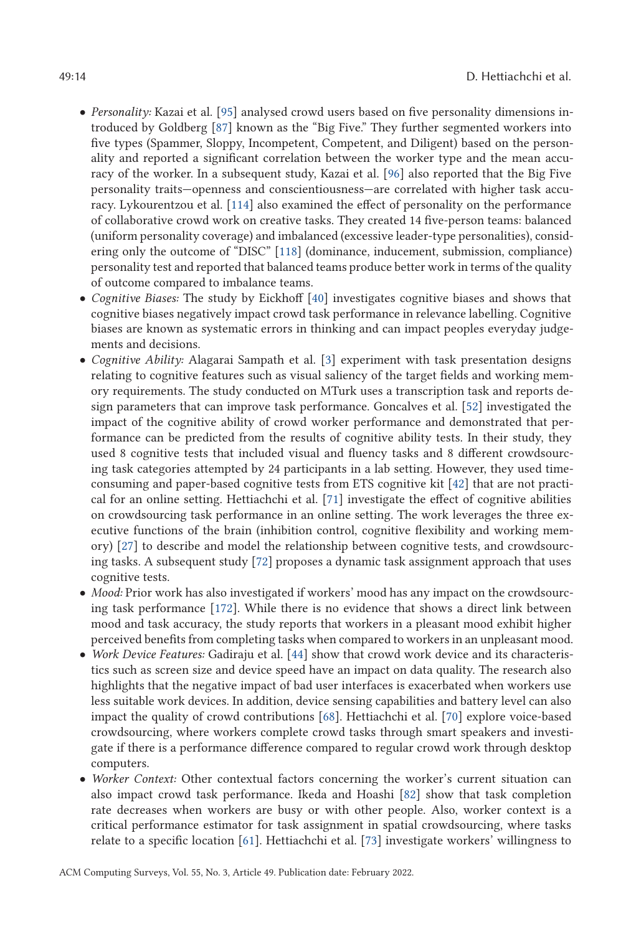- *Personality:* Kazai et al. [\[95\]](#page-31-0) analysed crowd users based on five personality dimensions introduced by Goldberg [\[87\]](#page-30-0) known as the "Big Five." They further segmented workers into five types (Spammer, Sloppy, Incompetent, Competent, and Diligent) based on the personality and reported a significant correlation between the worker type and the mean accuracy of the worker. In a subsequent study, Kazai et al. [\[96\]](#page-31-0) also reported that the Big Five personality traits—openness and conscientiousness—are correlated with higher task accuracy. Lykourentzou et al. [\[114\]](#page-32-0) also examined the effect of personality on the performance of collaborative crowd work on creative tasks. They created 14 five-person teams: balanced (uniform personality coverage) and imbalanced (excessive leader-type personalities), considering only the outcome of "DISC" [\[118\]](#page-32-0) (dominance, inducement, submission, compliance) personality test and reported that balanced teams produce better work in terms of the quality of outcome compared to imbalance teams.
- *Cognitive Biases:* The study by Eickhoff [\[40\]](#page-28-0) investigates cognitive biases and shows that cognitive biases negatively impact crowd task performance in relevance labelling. Cognitive biases are known as systematic errors in thinking and can impact peoples everyday judgements and decisions.
- *Cognitive Ability:* Alagarai Sampath et al. [\[3\]](#page-26-0) experiment with task presentation designs relating to cognitive features such as visual saliency of the target fields and working memory requirements. The study conducted on MTurk uses a transcription task and reports design parameters that can improve task performance. Goncalves et al. [\[52\]](#page-28-0) investigated the impact of the cognitive ability of crowd worker performance and demonstrated that performance can be predicted from the results of cognitive ability tests. In their study, they used 8 cognitive tests that included visual and fluency tasks and 8 different crowdsourcing task categories attempted by 24 participants in a lab setting. However, they used timeconsuming and paper-based cognitive tests from ETS cognitive kit [\[42\]](#page-28-0) that are not practical for an online setting. Hettiachchi et al. [\[71\]](#page-29-0) investigate the effect of cognitive abilities on crowdsourcing task performance in an online setting. The work leverages the three executive functions of the brain (inhibition control, cognitive flexibility and working memory) [\[27\]](#page-27-0) to describe and model the relationship between cognitive tests, and crowdsourcing tasks. A subsequent study [\[72\]](#page-29-0) proposes a dynamic task assignment approach that uses cognitive tests.
- *Mood:* Prior work has also investigated if workers' mood has any impact on the crowdsourcing task performance [\[172\]](#page-34-0). While there is no evidence that shows a direct link between mood and task accuracy, the study reports that workers in a pleasant mood exhibit higher perceived benefits from completing tasks when compared to workers in an unpleasant mood.
- *Work Device Features:* Gadiraju et al. [\[44\]](#page-28-0) show that crowd work device and its characteristics such as screen size and device speed have an impact on data quality. The research also highlights that the negative impact of bad user interfaces is exacerbated when workers use less suitable work devices. In addition, device sensing capabilities and battery level can also impact the quality of crowd contributions [\[68\]](#page-29-0). Hettiachchi et al. [\[70\]](#page-29-0) explore voice-based crowdsourcing, where workers complete crowd tasks through smart speakers and investigate if there is a performance difference compared to regular crowd work through desktop computers.
- *Worker Context:* Other contextual factors concerning the worker's current situation can also impact crowd task performance. Ikeda and Hoashi [\[82\]](#page-30-0) show that task completion rate decreases when workers are busy or with other people. Also, worker context is a critical performance estimator for task assignment in spatial crowdsourcing, where tasks relate to a specific location [\[61\]](#page-29-0). Hettiachchi et al. [\[73\]](#page-30-0) investigate workers' willingness to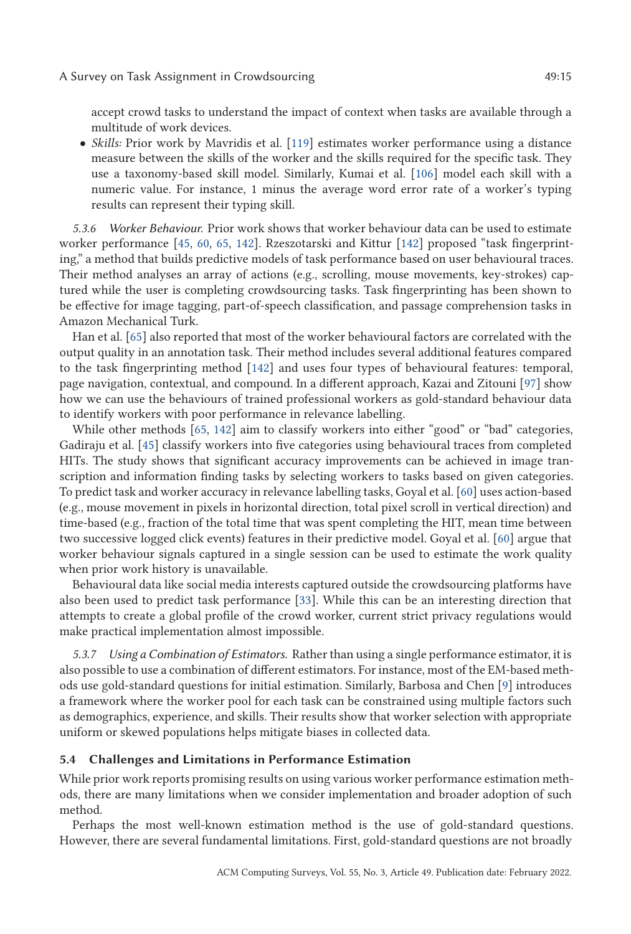<span id="page-14-0"></span>accept crowd tasks to understand the impact of context when tasks are available through a multitude of work devices.

• *Skills:* Prior work by Mavridis et al. [\[119\]](#page-32-0) estimates worker performance using a distance measure between the skills of the worker and the skills required for the specific task. They use a taxonomy-based skill model. Similarly, Kumai et al. [\[106\]](#page-31-0) model each skill with a numeric value. For instance, 1 minus the average word error rate of a worker's typing results can represent their typing skill.

*5.3.6 Worker Behaviour.* Prior work shows that worker behaviour data can be used to estimate worker performance [\[45,](#page-28-0) [60,](#page-29-0) [65,](#page-29-0) [142\]](#page-33-0). Rzeszotarski and Kittur [\[142\]](#page-33-0) proposed "task fingerprinting," a method that builds predictive models of task performance based on user behavioural traces. Their method analyses an array of actions (e.g., scrolling, mouse movements, key-strokes) captured while the user is completing crowdsourcing tasks. Task fingerprinting has been shown to be effective for image tagging, part-of-speech classification, and passage comprehension tasks in Amazon Mechanical Turk.

Han et al. [\[65\]](#page-29-0) also reported that most of the worker behavioural factors are correlated with the output quality in an annotation task. Their method includes several additional features compared to the task fingerprinting method [\[142\]](#page-33-0) and uses four types of behavioural features: temporal, page navigation, contextual, and compound. In a different approach, Kazai and Zitouni [\[97\]](#page-31-0) show how we can use the behaviours of trained professional workers as gold-standard behaviour data to identify workers with poor performance in relevance labelling.

While other methods [\[65,](#page-29-0) [142\]](#page-33-0) aim to classify workers into either "good" or "bad" categories, Gadiraju et al. [\[45\]](#page-28-0) classify workers into five categories using behavioural traces from completed HITs. The study shows that significant accuracy improvements can be achieved in image transcription and information finding tasks by selecting workers to tasks based on given categories. To predict task and worker accuracy in relevance labelling tasks, Goyal et al. [\[60\]](#page-29-0) uses action-based (e.g., mouse movement in pixels in horizontal direction, total pixel scroll in vertical direction) and time-based (e.g., fraction of the total time that was spent completing the HIT, mean time between two successive logged click events) features in their predictive model. Goyal et al. [\[60\]](#page-29-0) argue that worker behaviour signals captured in a single session can be used to estimate the work quality when prior work history is unavailable.

Behavioural data like social media interests captured outside the crowdsourcing platforms have also been used to predict task performance [\[33\]](#page-27-0). While this can be an interesting direction that attempts to create a global profile of the crowd worker, current strict privacy regulations would make practical implementation almost impossible.

*5.3.7 Using a Combination of Estimators.* Rather than using a single performance estimator, it is also possible to use a combination of different estimators. For instance, most of the EM-based methods use gold-standard questions for initial estimation. Similarly, Barbosa and Chen [\[9\]](#page-26-0) introduces a framework where the worker pool for each task can be constrained using multiple factors such as demographics, experience, and skills. Their results show that worker selection with appropriate uniform or skewed populations helps mitigate biases in collected data.

#### **5.4 Challenges and Limitations in Performance Estimation**

While prior work reports promising results on using various worker performance estimation methods, there are many limitations when we consider implementation and broader adoption of such method.

Perhaps the most well-known estimation method is the use of gold-standard questions. However, there are several fundamental limitations. First, gold-standard questions are not broadly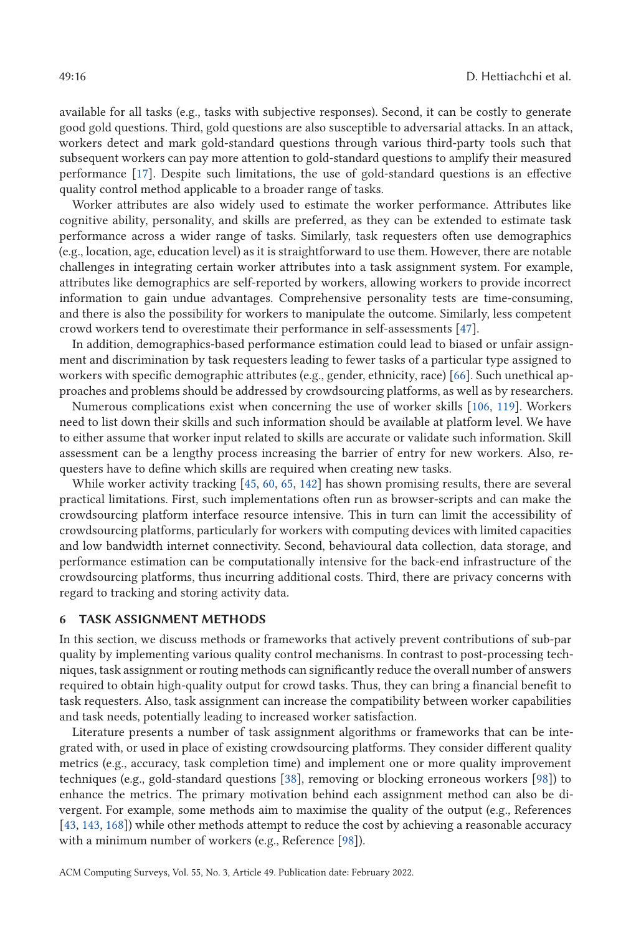<span id="page-15-0"></span>available for all tasks (e.g., tasks with subjective responses). Second, it can be costly to generate good gold questions. Third, gold questions are also susceptible to adversarial attacks. In an attack, workers detect and mark gold-standard questions through various third-party tools such that subsequent workers can pay more attention to gold-standard questions to amplify their measured performance [\[17\]](#page-27-0). Despite such limitations, the use of gold-standard questions is an effective quality control method applicable to a broader range of tasks.

Worker attributes are also widely used to estimate the worker performance. Attributes like cognitive ability, personality, and skills are preferred, as they can be extended to estimate task performance across a wider range of tasks. Similarly, task requesters often use demographics (e.g., location, age, education level) as it is straightforward to use them. However, there are notable challenges in integrating certain worker attributes into a task assignment system. For example, attributes like demographics are self-reported by workers, allowing workers to provide incorrect information to gain undue advantages. Comprehensive personality tests are time-consuming, and there is also the possibility for workers to manipulate the outcome. Similarly, less competent crowd workers tend to overestimate their performance in self-assessments [\[47\]](#page-28-0).

In addition, demographics-based performance estimation could lead to biased or unfair assignment and discrimination by task requesters leading to fewer tasks of a particular type assigned to workers with specific demographic attributes (e.g., gender, ethnicity, race) [\[66\]](#page-29-0). Such unethical approaches and problems should be addressed by crowdsourcing platforms, as well as by researchers.

Numerous complications exist when concerning the use of worker skills [\[106,](#page-31-0) [119\]](#page-32-0). Workers need to list down their skills and such information should be available at platform level. We have to either assume that worker input related to skills are accurate or validate such information. Skill assessment can be a lengthy process increasing the barrier of entry for new workers. Also, requesters have to define which skills are required when creating new tasks.

While worker activity tracking [\[45,](#page-28-0) [60,](#page-29-0) [65,](#page-29-0) [142\]](#page-33-0) has shown promising results, there are several practical limitations. First, such implementations often run as browser-scripts and can make the crowdsourcing platform interface resource intensive. This in turn can limit the accessibility of crowdsourcing platforms, particularly for workers with computing devices with limited capacities and low bandwidth internet connectivity. Second, behavioural data collection, data storage, and performance estimation can be computationally intensive for the back-end infrastructure of the crowdsourcing platforms, thus incurring additional costs. Third, there are privacy concerns with regard to tracking and storing activity data.

### **6 TASK ASSIGNMENT METHODS**

In this section, we discuss methods or frameworks that actively prevent contributions of sub-par quality by implementing various quality control mechanisms. In contrast to post-processing techniques, task assignment or routing methods can significantly reduce the overall number of answers required to obtain high-quality output for crowd tasks. Thus, they can bring a financial benefit to task requesters. Also, task assignment can increase the compatibility between worker capabilities and task needs, potentially leading to increased worker satisfaction.

Literature presents a number of task assignment algorithms or frameworks that can be integrated with, or used in place of existing crowdsourcing platforms. They consider different quality metrics (e.g., accuracy, task completion time) and implement one or more quality improvement techniques (e.g., gold-standard questions [\[38\]](#page-28-0), removing or blocking erroneous workers [\[98\]](#page-31-0)) to enhance the metrics. The primary motivation behind each assignment method can also be divergent. For example, some methods aim to maximise the quality of the output (e.g., References [\[43,](#page-28-0) [143,](#page-33-0) [168\]](#page-34-0)) while other methods attempt to reduce the cost by achieving a reasonable accuracy with a minimum number of workers (e.g., Reference [\[98\]](#page-31-0)).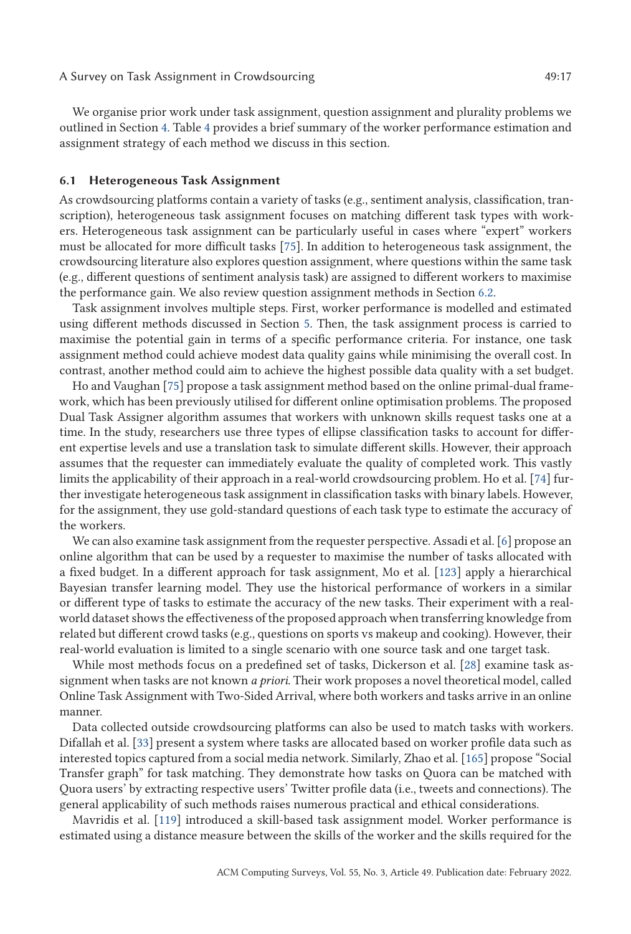We organise prior work under task assignment, question assignment and plurality problems we outlined in Section [4.](#page-7-0) Table [4](#page-17-0) provides a brief summary of the worker performance estimation and assignment strategy of each method we discuss in this section.

### **6.1 Heterogeneous Task Assignment**

As crowdsourcing platforms contain a variety of tasks (e.g., sentiment analysis, classification, transcription), heterogeneous task assignment focuses on matching different task types with workers. Heterogeneous task assignment can be particularly useful in cases where "expert" workers must be allocated for more difficult tasks [\[75\]](#page-30-0). In addition to heterogeneous task assignment, the crowdsourcing literature also explores question assignment, where questions within the same task (e.g., different questions of sentiment analysis task) are assigned to different workers to maximise the performance gain. We also review question assignment methods in Section [6.2.](#page-19-0)

Task assignment involves multiple steps. First, worker performance is modelled and estimated using different methods discussed in Section [5.](#page-9-0) Then, the task assignment process is carried to maximise the potential gain in terms of a specific performance criteria. For instance, one task assignment method could achieve modest data quality gains while minimising the overall cost. In contrast, another method could aim to achieve the highest possible data quality with a set budget.

Ho and Vaughan [\[75\]](#page-30-0) propose a task assignment method based on the online primal-dual framework, which has been previously utilised for different online optimisation problems. The proposed Dual Task Assigner algorithm assumes that workers with unknown skills request tasks one at a time. In the study, researchers use three types of ellipse classification tasks to account for different expertise levels and use a translation task to simulate different skills. However, their approach assumes that the requester can immediately evaluate the quality of completed work. This vastly limits the applicability of their approach in a real-world crowdsourcing problem. Ho et al. [\[74\]](#page-30-0) further investigate heterogeneous task assignment in classification tasks with binary labels. However, for the assignment, they use gold-standard questions of each task type to estimate the accuracy of the workers.

We can also examine task assignment from the requester perspective. Assadi et al. [\[6\]](#page-26-0) propose an online algorithm that can be used by a requester to maximise the number of tasks allocated with a fixed budget. In a different approach for task assignment, Mo et al. [\[123\]](#page-32-0) apply a hierarchical Bayesian transfer learning model. They use the historical performance of workers in a similar or different type of tasks to estimate the accuracy of the new tasks. Their experiment with a realworld dataset shows the effectiveness of the proposed approach when transferring knowledge from related but different crowd tasks (e.g., questions on sports vs makeup and cooking). However, their real-world evaluation is limited to a single scenario with one source task and one target task.

While most methods focus on a predefined set of tasks, Dickerson et al. [\[28\]](#page-27-0) examine task assignment when tasks are not known *a priori*. Their work proposes a novel theoretical model, called Online Task Assignment with Two-Sided Arrival, where both workers and tasks arrive in an online manner.

Data collected outside crowdsourcing platforms can also be used to match tasks with workers. Difallah et al. [\[33\]](#page-27-0) present a system where tasks are allocated based on worker profile data such as interested topics captured from a social media network. Similarly, Zhao et al. [\[165\]](#page-34-0) propose "Social Transfer graph" for task matching. They demonstrate how tasks on Quora can be matched with Quora users' by extracting respective users' Twitter profile data (i.e., tweets and connections). The general applicability of such methods raises numerous practical and ethical considerations.

Mavridis et al. [\[119\]](#page-32-0) introduced a skill-based task assignment model. Worker performance is estimated using a distance measure between the skills of the worker and the skills required for the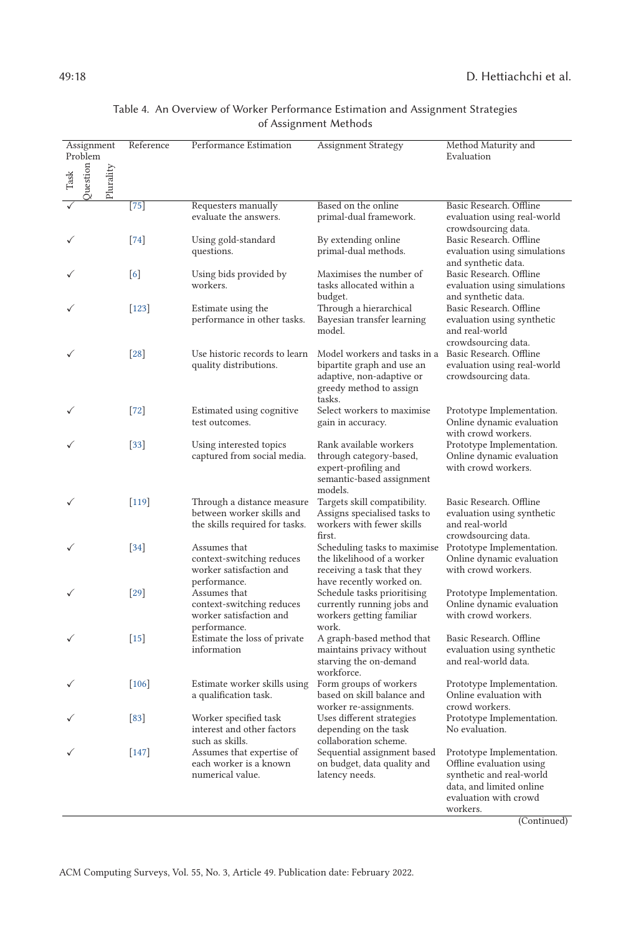<span id="page-17-0"></span>

| Assignment<br>Problem        | Reference         | Performance Estimation                                                                    | Assignment Strategy                                                                                                          | Method Maturity and<br>Evaluation                                                                                                                  |
|------------------------------|-------------------|-------------------------------------------------------------------------------------------|------------------------------------------------------------------------------------------------------------------------------|----------------------------------------------------------------------------------------------------------------------------------------------------|
| uestion<br>Plurality<br>Task |                   |                                                                                           |                                                                                                                              |                                                                                                                                                    |
|                              | $[75]$            | Requesters manually<br>evaluate the answers.                                              | Based on the online<br>primal-dual framework.                                                                                | Basic Research. Offline<br>evaluation using real-world<br>crowdsourcing data.                                                                      |
|                              | $[74]$            | Using gold-standard<br>questions.                                                         | By extending online<br>primal-dual methods.                                                                                  | Basic Research. Offline<br>evaluation using simulations<br>and synthetic data.                                                                     |
|                              | $\lceil 6 \rceil$ | Using bids provided by<br>workers.                                                        | Maximises the number of<br>tasks allocated within a<br>budget.                                                               | Basic Research. Offline<br>evaluation using simulations<br>and synthetic data.                                                                     |
|                              | $[123]$           | Estimate using the<br>performance in other tasks.                                         | Through a hierarchical<br>Bayesian transfer learning<br>model.                                                               | Basic Research. Offline<br>evaluation using synthetic<br>and real-world<br>crowdsourcing data.                                                     |
|                              | $\left[28\right]$ | Use historic records to learn<br>quality distributions.                                   | Model workers and tasks in a<br>bipartite graph and use an<br>adaptive, non-adaptive or<br>greedy method to assign<br>tasks. | Basic Research. Offline<br>evaluation using real-world<br>crowdsourcing data.                                                                      |
|                              | $[72]$            | Estimated using cognitive<br>test outcomes.                                               | Select workers to maximise<br>gain in accuracy.                                                                              | Prototype Implementation.<br>Online dynamic evaluation<br>with crowd workers.                                                                      |
|                              | $[33]$            | Using interested topics<br>captured from social media.                                    | Rank available workers<br>through category-based,<br>expert-profiling and<br>semantic-based assignment<br>models.            | Prototype Implementation.<br>Online dynamic evaluation<br>with crowd workers.                                                                      |
|                              | $[119]$           | Through a distance measure<br>between worker skills and<br>the skills required for tasks. | Targets skill compatibility.<br>Assigns specialised tasks to<br>workers with fewer skills<br>first.                          | Basic Research. Offline<br>evaluation using synthetic<br>and real-world<br>crowdsourcing data.                                                     |
|                              | $[34]$            | Assumes that<br>context-switching reduces<br>worker satisfaction and<br>performance.      | Scheduling tasks to maximise<br>the likelihood of a worker<br>receiving a task that they<br>have recently worked on.         | Prototype Implementation.<br>Online dynamic evaluation<br>with crowd workers.                                                                      |
|                              | $\left[29\right]$ | Assumes that<br>context-switching reduces<br>worker satisfaction and<br>performance.      | Schedule tasks prioritising<br>currently running jobs and<br>workers getting familiar<br>work.                               | Prototype Implementation.<br>Online dynamic evaluation<br>with crowd workers.                                                                      |
|                              | $[15]$            | Estimate the loss of private<br>information                                               | A graph-based method that<br>maintains privacy without<br>starving the on-demand<br>workforce.                               | Basic Research. Offline<br>evaluation using synthetic<br>and real-world data.                                                                      |
|                              | $[106]$           | Estimate worker skills using<br>a qualification task.                                     | Form groups of workers<br>based on skill balance and<br>worker re-assignments.                                               | Prototype Implementation.<br>Online evaluation with<br>crowd workers.                                                                              |
|                              | [83]              | Worker specified task<br>interest and other factors<br>such as skills.                    | Uses different strategies<br>depending on the task<br>collaboration scheme.                                                  | Prototype Implementation.<br>No evaluation.                                                                                                        |
|                              | $[147]$           | Assumes that expertise of<br>each worker is a known<br>numerical value.                   | Sequential assignment based<br>on budget, data quality and<br>latency needs.                                                 | Prototype Implementation.<br>Offline evaluation using<br>synthetic and real-world<br>data, and limited online<br>evaluation with crowd<br>workers. |

# Table 4. An Overview of Worker Performance Estimation and Assignment Strategies of Assignment Methods

(Continued)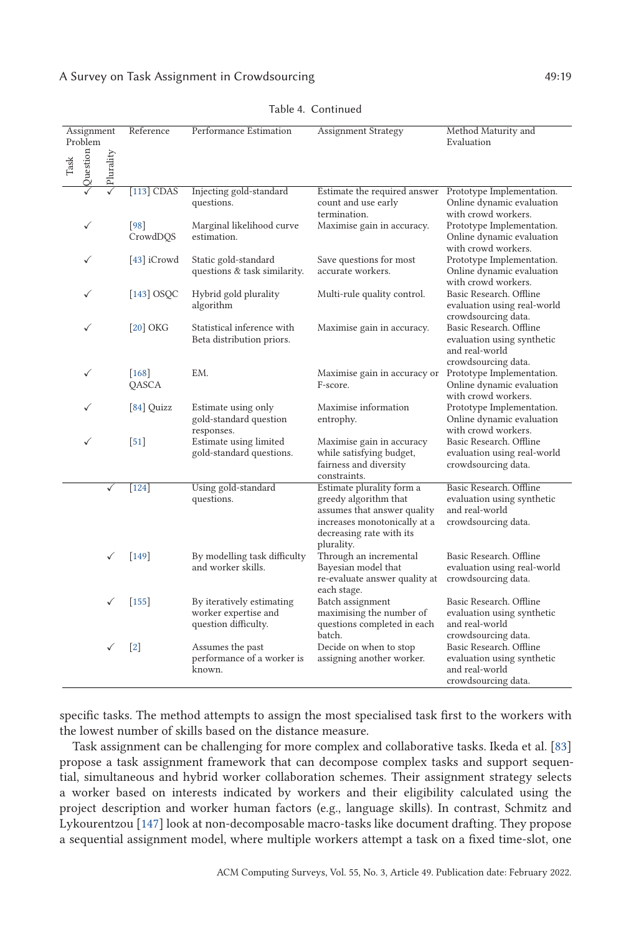### A Survey on Task Assignment in Crowdsourcing  $\overline{49:19}$

| Assignment<br>Problem   |           | Reference         | Performance Estimation                                                    | <b>Assignment Strategy</b>                                                                                                                                  | Method Maturity and<br>Evaluation                                                              |
|-------------------------|-----------|-------------------|---------------------------------------------------------------------------|-------------------------------------------------------------------------------------------------------------------------------------------------------------|------------------------------------------------------------------------------------------------|
| Question<br>$\rm{Task}$ | Plurality |                   |                                                                           |                                                                                                                                                             |                                                                                                |
|                         |           | $[113]$ CDAS      | Injecting gold-standard<br>questions.                                     | Estimate the required answer<br>count and use early<br>termination.                                                                                         | Prototype Implementation.<br>Online dynamic evaluation<br>with crowd workers.                  |
|                         |           | [98]<br>CrowdDQS  | Marginal likelihood curve<br>estimation.                                  | Maximise gain in accuracy.                                                                                                                                  | Prototype Implementation.<br>Online dynamic evaluation<br>with crowd workers.                  |
|                         |           | [43] iCrowd       | Static gold-standard<br>questions & task similarity.                      | Save questions for most<br>accurate workers.                                                                                                                | Prototype Implementation.<br>Online dynamic evaluation<br>with crowd workers.                  |
|                         |           | $[143]$ OSQC      | Hybrid gold plurality<br>algorithm                                        | Multi-rule quality control.                                                                                                                                 | Basic Research. Offline<br>evaluation using real-world<br>crowdsourcing data.                  |
|                         |           | $[20]$ OKG        | Statistical inference with<br>Beta distribution priors.                   | Maximise gain in accuracy.                                                                                                                                  | Basic Research. Offline<br>evaluation using synthetic<br>and real-world<br>crowdsourcing data. |
|                         |           | [168]<br>QASCA    | EM.                                                                       | Maximise gain in accuracy or<br>F-score.                                                                                                                    | Prototype Implementation.<br>Online dynamic evaluation<br>with crowd workers.                  |
|                         |           | $[84]$ Quizz      | Estimate using only<br>gold-standard question<br>responses.               | Maximise information<br>entrophy.                                                                                                                           | Prototype Implementation.<br>Online dynamic evaluation<br>with crowd workers.                  |
|                         |           | $[51]$            | Estimate using limited<br>gold-standard questions.                        | Maximise gain in accuracy<br>while satisfying budget,<br>fairness and diversity<br>constraints.                                                             | Basic Research. Offline<br>evaluation using real-world<br>crowdsourcing data.                  |
|                         |           | $[124]$           | Using gold-standard<br>questions.                                         | Estimate plurality form a<br>greedy algorithm that<br>assumes that answer quality<br>increases monotonically at a<br>decreasing rate with its<br>plurality. | Basic Research. Offline<br>evaluation using synthetic<br>and real-world<br>crowdsourcing data. |
|                         | ✓         | $[149]$           | By modelling task difficulty<br>and worker skills.                        | Through an incremental<br>Bayesian model that<br>re-evaluate answer quality at<br>each stage.                                                               | Basic Research. Offline<br>evaluation using real-world<br>crowdsourcing data.                  |
|                         | ✓         | $[155]$           | By iteratively estimating<br>worker expertise and<br>question difficulty. | Batch assignment<br>maximising the number of<br>questions completed in each<br>batch.                                                                       | Basic Research. Offline<br>evaluation using synthetic<br>and real-world<br>crowdsourcing data. |
|                         | ✓         | $\lceil 2 \rceil$ | Assumes the past<br>performance of a worker is<br>known.                  | Decide on when to stop<br>assigning another worker.                                                                                                         | Basic Research. Offline<br>evaluation using synthetic<br>and real-world<br>crowdsourcing data. |

Table 4. Continued

specific tasks. The method attempts to assign the most specialised task first to the workers with the lowest number of skills based on the distance measure.

Task assignment can be challenging for more complex and collaborative tasks. Ikeda et al. [\[83\]](#page-30-0) propose a task assignment framework that can decompose complex tasks and support sequential, simultaneous and hybrid worker collaboration schemes. Their assignment strategy selects a worker based on interests indicated by workers and their eligibility calculated using the project description and worker human factors (e.g., language skills). In contrast, Schmitz and Lykourentzou [\[147\]](#page-33-0) look at non-decomposable macro-tasks like document drafting. They propose a sequential assignment model, where multiple workers attempt a task on a fixed time-slot, one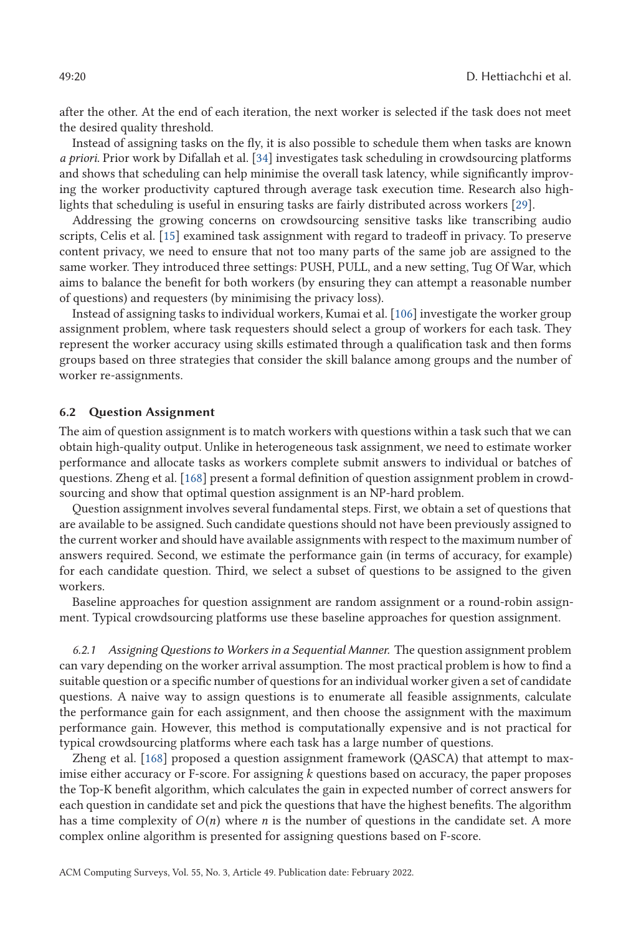<span id="page-19-0"></span>after the other. At the end of each iteration, the next worker is selected if the task does not meet the desired quality threshold.

Instead of assigning tasks on the fly, it is also possible to schedule them when tasks are known *a priori*. Prior work by Difallah et al. [\[34\]](#page-28-0) investigates task scheduling in crowdsourcing platforms and shows that scheduling can help minimise the overall task latency, while significantly improving the worker productivity captured through average task execution time. Research also highlights that scheduling is useful in ensuring tasks are fairly distributed across workers [\[29\]](#page-27-0).

Addressing the growing concerns on crowdsourcing sensitive tasks like transcribing audio scripts, Celis et al. [\[15\]](#page-27-0) examined task assignment with regard to tradeoff in privacy. To preserve content privacy, we need to ensure that not too many parts of the same job are assigned to the same worker. They introduced three settings: PUSH, PULL, and a new setting, Tug Of War, which aims to balance the benefit for both workers (by ensuring they can attempt a reasonable number of questions) and requesters (by minimising the privacy loss).

Instead of assigning tasks to individual workers, Kumai et al. [\[106\]](#page-31-0) investigate the worker group assignment problem, where task requesters should select a group of workers for each task. They represent the worker accuracy using skills estimated through a qualification task and then forms groups based on three strategies that consider the skill balance among groups and the number of worker re-assignments.

#### **6.2 Question Assignment**

The aim of question assignment is to match workers with questions within a task such that we can obtain high-quality output. Unlike in heterogeneous task assignment, we need to estimate worker performance and allocate tasks as workers complete submit answers to individual or batches of questions. Zheng et al. [\[168\]](#page-34-0) present a formal definition of question assignment problem in crowdsourcing and show that optimal question assignment is an NP-hard problem.

Question assignment involves several fundamental steps. First, we obtain a set of questions that are available to be assigned. Such candidate questions should not have been previously assigned to the current worker and should have available assignments with respect to the maximum number of answers required. Second, we estimate the performance gain (in terms of accuracy, for example) for each candidate question. Third, we select a subset of questions to be assigned to the given workers.

Baseline approaches for question assignment are random assignment or a round-robin assignment. Typical crowdsourcing platforms use these baseline approaches for question assignment.

*6.2.1 AssigningQuestions to Workers in a Sequential Manner.* The question assignment problem can vary depending on the worker arrival assumption. The most practical problem is how to find a suitable question or a specific number of questions for an individual worker given a set of candidate questions. A naive way to assign questions is to enumerate all feasible assignments, calculate the performance gain for each assignment, and then choose the assignment with the maximum performance gain. However, this method is computationally expensive and is not practical for typical crowdsourcing platforms where each task has a large number of questions.

Zheng et al. [\[168\]](#page-34-0) proposed a question assignment framework (QASCA) that attempt to maximise either accuracy or F-score. For assigning *k* questions based on accuracy, the paper proposes the Top-K benefit algorithm, which calculates the gain in expected number of correct answers for each question in candidate set and pick the questions that have the highest benefits. The algorithm has a time complexity of  $O(n)$  where *n* is the number of questions in the candidate set. A more complex online algorithm is presented for assigning questions based on F-score.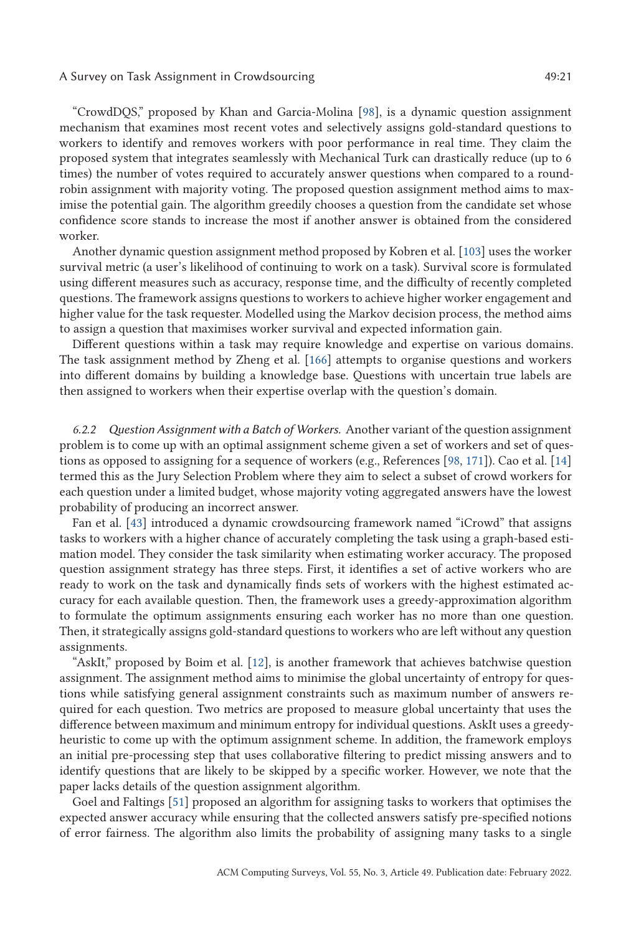### A Survey on Task Assignment in Crowdsourcing  $49:21$

"CrowdDQS," proposed by Khan and Garcia-Molina [\[98\]](#page-31-0), is a dynamic question assignment mechanism that examines most recent votes and selectively assigns gold-standard questions to workers to identify and removes workers with poor performance in real time. They claim the proposed system that integrates seamlessly with Mechanical Turk can drastically reduce (up to 6 times) the number of votes required to accurately answer questions when compared to a roundrobin assignment with majority voting. The proposed question assignment method aims to maximise the potential gain. The algorithm greedily chooses a question from the candidate set whose confidence score stands to increase the most if another answer is obtained from the considered worker.

Another dynamic question assignment method proposed by Kobren et al. [\[103\]](#page-31-0) uses the worker survival metric (a user's likelihood of continuing to work on a task). Survival score is formulated using different measures such as accuracy, response time, and the difficulty of recently completed questions. The framework assigns questions to workers to achieve higher worker engagement and higher value for the task requester. Modelled using the Markov decision process, the method aims to assign a question that maximises worker survival and expected information gain.

Different questions within a task may require knowledge and expertise on various domains. The task assignment method by Zheng et al. [\[166\]](#page-34-0) attempts to organise questions and workers into different domains by building a knowledge base. Questions with uncertain true labels are then assigned to workers when their expertise overlap with the question's domain.

*6.2.2 Question Assignment with a Batch of Workers.* Another variant of the question assignment problem is to come up with an optimal assignment scheme given a set of workers and set of questions as opposed to assigning for a sequence of workers (e.g., References [\[98,](#page-31-0) [171\]](#page-34-0)). Cao et al. [\[14\]](#page-27-0) termed this as the Jury Selection Problem where they aim to select a subset of crowd workers for each question under a limited budget, whose majority voting aggregated answers have the lowest probability of producing an incorrect answer.

Fan et al. [\[43\]](#page-28-0) introduced a dynamic crowdsourcing framework named "iCrowd" that assigns tasks to workers with a higher chance of accurately completing the task using a graph-based estimation model. They consider the task similarity when estimating worker accuracy. The proposed question assignment strategy has three steps. First, it identifies a set of active workers who are ready to work on the task and dynamically finds sets of workers with the highest estimated accuracy for each available question. Then, the framework uses a greedy-approximation algorithm to formulate the optimum assignments ensuring each worker has no more than one question. Then, it strategically assigns gold-standard questions to workers who are left without any question assignments.

"AskIt," proposed by Boim et al. [\[12\]](#page-26-0), is another framework that achieves batchwise question assignment. The assignment method aims to minimise the global uncertainty of entropy for questions while satisfying general assignment constraints such as maximum number of answers required for each question. Two metrics are proposed to measure global uncertainty that uses the difference between maximum and minimum entropy for individual questions. AskIt uses a greedyheuristic to come up with the optimum assignment scheme. In addition, the framework employs an initial pre-processing step that uses collaborative filtering to predict missing answers and to identify questions that are likely to be skipped by a specific worker. However, we note that the paper lacks details of the question assignment algorithm.

Goel and Faltings [\[51\]](#page-28-0) proposed an algorithm for assigning tasks to workers that optimises the expected answer accuracy while ensuring that the collected answers satisfy pre-specified notions of error fairness. The algorithm also limits the probability of assigning many tasks to a single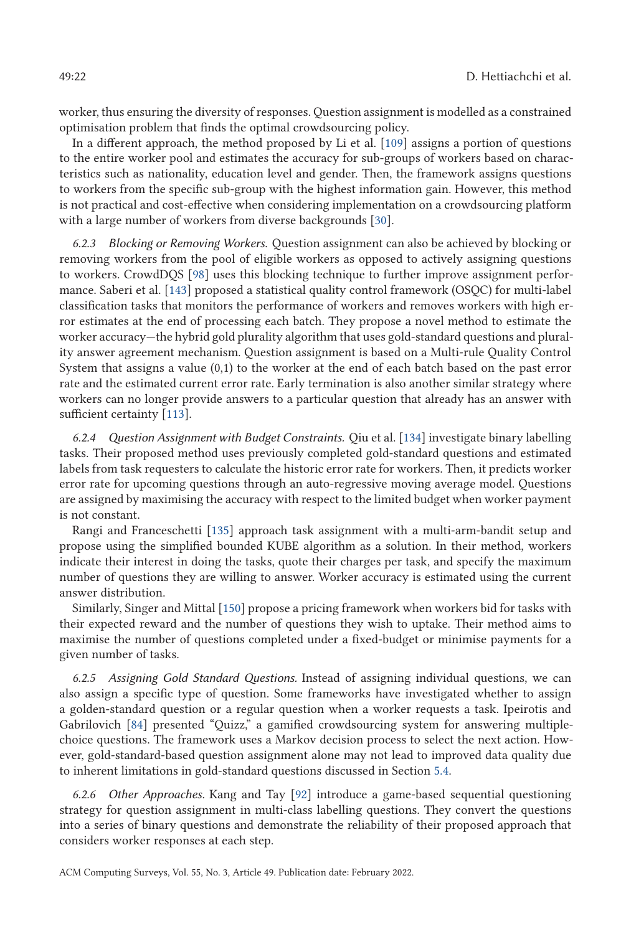worker, thus ensuring the diversity of responses. Question assignment is modelled as a constrained optimisation problem that finds the optimal crowdsourcing policy.

In a different approach, the method proposed by Li et al. [\[109\]](#page-31-0) assigns a portion of questions to the entire worker pool and estimates the accuracy for sub-groups of workers based on characteristics such as nationality, education level and gender. Then, the framework assigns questions to workers from the specific sub-group with the highest information gain. However, this method is not practical and cost-effective when considering implementation on a crowdsourcing platform with a large number of workers from diverse backgrounds [\[30\]](#page-27-0).

*6.2.3 Blocking or Removing Workers.* Question assignment can also be achieved by blocking or removing workers from the pool of eligible workers as opposed to actively assigning questions to workers. CrowdDQS [\[98\]](#page-31-0) uses this blocking technique to further improve assignment performance. Saberi et al. [\[143\]](#page-33-0) proposed a statistical quality control framework (OSQC) for multi-label classification tasks that monitors the performance of workers and removes workers with high error estimates at the end of processing each batch. They propose a novel method to estimate the worker accuracy—the hybrid gold plurality algorithm that uses gold-standard questions and plurality answer agreement mechanism. Question assignment is based on a Multi-rule Quality Control System that assigns a value (0,1) to the worker at the end of each batch based on the past error rate and the estimated current error rate. Early termination is also another similar strategy where workers can no longer provide answers to a particular question that already has an answer with sufficient certainty [\[113\]](#page-31-0).

*6.2.4 Question Assignment with Budget Constraints.* Qiu et al. [\[134\]](#page-33-0) investigate binary labelling tasks. Their proposed method uses previously completed gold-standard questions and estimated labels from task requesters to calculate the historic error rate for workers. Then, it predicts worker error rate for upcoming questions through an auto-regressive moving average model. Questions are assigned by maximising the accuracy with respect to the limited budget when worker payment is not constant.

Rangi and Franceschetti [\[135\]](#page-33-0) approach task assignment with a multi-arm-bandit setup and propose using the simplified bounded KUBE algorithm as a solution. In their method, workers indicate their interest in doing the tasks, quote their charges per task, and specify the maximum number of questions they are willing to answer. Worker accuracy is estimated using the current answer distribution.

Similarly, Singer and Mittal [\[150\]](#page-33-0) propose a pricing framework when workers bid for tasks with their expected reward and the number of questions they wish to uptake. Their method aims to maximise the number of questions completed under a fixed-budget or minimise payments for a given number of tasks.

*6.2.5 Assigning Gold Standard Questions.* Instead of assigning individual questions, we can also assign a specific type of question. Some frameworks have investigated whether to assign a golden-standard question or a regular question when a worker requests a task. Ipeirotis and Gabrilovich [\[84\]](#page-30-0) presented "Quizz," a gamified crowdsourcing system for answering multiplechoice questions. The framework uses a Markov decision process to select the next action. However, gold-standard-based question assignment alone may not lead to improved data quality due to inherent limitations in gold-standard questions discussed in Section [5.4.](#page-14-0)

*6.2.6 Other Approaches.* Kang and Tay [\[92\]](#page-30-0) introduce a game-based sequential questioning strategy for question assignment in multi-class labelling questions. They convert the questions into a series of binary questions and demonstrate the reliability of their proposed approach that considers worker responses at each step.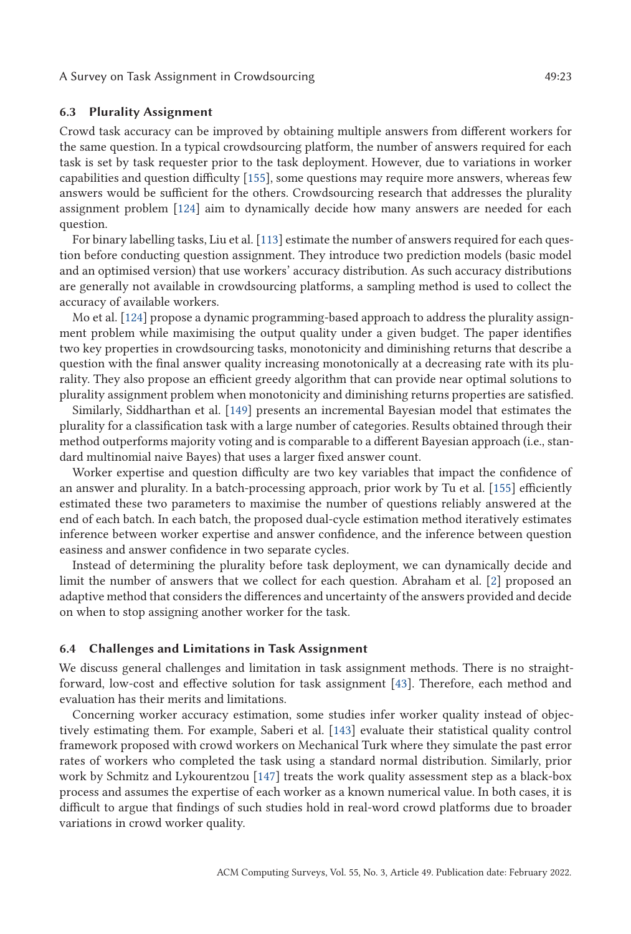#### **6.3 Plurality Assignment**

Crowd task accuracy can be improved by obtaining multiple answers from different workers for the same question. In a typical crowdsourcing platform, the number of answers required for each task is set by task requester prior to the task deployment. However, due to variations in worker capabilities and question difficulty [\[155\]](#page-34-0), some questions may require more answers, whereas few answers would be sufficient for the others. Crowdsourcing research that addresses the plurality assignment problem [\[124\]](#page-32-0) aim to dynamically decide how many answers are needed for each question.

For binary labelling tasks, Liu et al. [\[113\]](#page-31-0) estimate the number of answers required for each question before conducting question assignment. They introduce two prediction models (basic model and an optimised version) that use workers' accuracy distribution. As such accuracy distributions are generally not available in crowdsourcing platforms, a sampling method is used to collect the accuracy of available workers.

Mo et al. [\[124\]](#page-32-0) propose a dynamic programming-based approach to address the plurality assignment problem while maximising the output quality under a given budget. The paper identifies two key properties in crowdsourcing tasks, monotonicity and diminishing returns that describe a question with the final answer quality increasing monotonically at a decreasing rate with its plurality. They also propose an efficient greedy algorithm that can provide near optimal solutions to plurality assignment problem when monotonicity and diminishing returns properties are satisfied.

Similarly, Siddharthan et al. [\[149\]](#page-33-0) presents an incremental Bayesian model that estimates the plurality for a classification task with a large number of categories. Results obtained through their method outperforms majority voting and is comparable to a different Bayesian approach (i.e., standard multinomial naive Bayes) that uses a larger fixed answer count.

Worker expertise and question difficulty are two key variables that impact the confidence of an answer and plurality. In a batch-processing approach, prior work by Tu et al. [\[155\]](#page-34-0) efficiently estimated these two parameters to maximise the number of questions reliably answered at the end of each batch. In each batch, the proposed dual-cycle estimation method iteratively estimates inference between worker expertise and answer confidence, and the inference between question easiness and answer confidence in two separate cycles.

Instead of determining the plurality before task deployment, we can dynamically decide and limit the number of answers that we collect for each question. Abraham et al. [\[2\]](#page-26-0) proposed an adaptive method that considers the differences and uncertainty of the answers provided and decide on when to stop assigning another worker for the task.

### **6.4 Challenges and Limitations in Task Assignment**

We discuss general challenges and limitation in task assignment methods. There is no straightforward, low-cost and effective solution for task assignment [\[43\]](#page-28-0). Therefore, each method and evaluation has their merits and limitations.

Concerning worker accuracy estimation, some studies infer worker quality instead of objectively estimating them. For example, Saberi et al. [\[143\]](#page-33-0) evaluate their statistical quality control framework proposed with crowd workers on Mechanical Turk where they simulate the past error rates of workers who completed the task using a standard normal distribution. Similarly, prior work by Schmitz and Lykourentzou [\[147\]](#page-33-0) treats the work quality assessment step as a black-box process and assumes the expertise of each worker as a known numerical value. In both cases, it is difficult to argue that findings of such studies hold in real-word crowd platforms due to broader variations in crowd worker quality.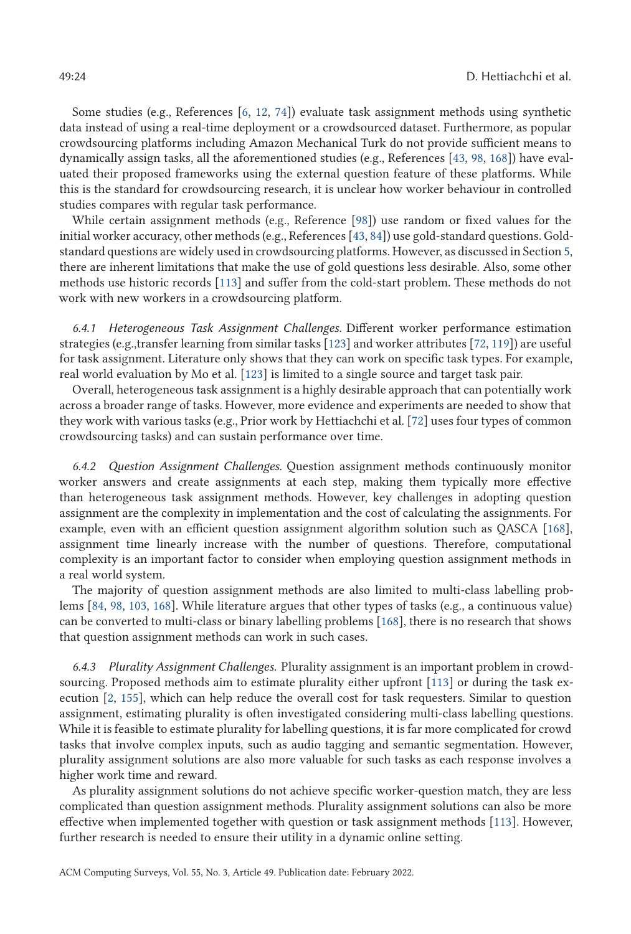Some studies (e.g., References [\[6,](#page-26-0) [12,](#page-26-0) [74\]](#page-30-0)) evaluate task assignment methods using synthetic data instead of using a real-time deployment or a crowdsourced dataset. Furthermore, as popular crowdsourcing platforms including Amazon Mechanical Turk do not provide sufficient means to dynamically assign tasks, all the aforementioned studies (e.g., References [\[43,](#page-28-0) [98,](#page-31-0) [168\]](#page-34-0)) have evaluated their proposed frameworks using the external question feature of these platforms. While this is the standard for crowdsourcing research, it is unclear how worker behaviour in controlled studies compares with regular task performance.

While certain assignment methods (e.g., Reference [\[98\]](#page-31-0)) use random or fixed values for the initial worker accuracy, other methods (e.g., References [\[43,](#page-28-0) [84\]](#page-30-0)) use gold-standard questions. Goldstandard questions are widely used in crowdsourcing platforms. However, as discussed in Section [5,](#page-9-0) there are inherent limitations that make the use of gold questions less desirable. Also, some other methods use historic records [\[113\]](#page-31-0) and suffer from the cold-start problem. These methods do not work with new workers in a crowdsourcing platform.

*6.4.1 Heterogeneous Task Assignment Challenges.* Different worker performance estimation strategies (e.g.,transfer learning from similar tasks [\[123\]](#page-32-0) and worker attributes [\[72,](#page-29-0) [119\]](#page-32-0)) are useful for task assignment. Literature only shows that they can work on specific task types. For example, real world evaluation by Mo et al. [\[123\]](#page-32-0) is limited to a single source and target task pair.

Overall, heterogeneous task assignment is a highly desirable approach that can potentially work across a broader range of tasks. However, more evidence and experiments are needed to show that they work with various tasks (e.g., Prior work by Hettiachchi et al. [\[72\]](#page-29-0) uses four types of common crowdsourcing tasks) and can sustain performance over time.

*6.4.2 Question Assignment Challenges.* Question assignment methods continuously monitor worker answers and create assignments at each step, making them typically more effective than heterogeneous task assignment methods. However, key challenges in adopting question assignment are the complexity in implementation and the cost of calculating the assignments. For example, even with an efficient question assignment algorithm solution such as QASCA [\[168\]](#page-34-0), assignment time linearly increase with the number of questions. Therefore, computational complexity is an important factor to consider when employing question assignment methods in a real world system.

The majority of question assignment methods are also limited to multi-class labelling problems [\[84,](#page-30-0) [98,](#page-31-0) [103,](#page-31-0) [168\]](#page-34-0). While literature argues that other types of tasks (e.g., a continuous value) can be converted to multi-class or binary labelling problems [\[168\]](#page-34-0), there is no research that shows that question assignment methods can work in such cases.

*6.4.3 Plurality Assignment Challenges.* Plurality assignment is an important problem in crowdsourcing. Proposed methods aim to estimate plurality either upfront [\[113\]](#page-31-0) or during the task execution [\[2,](#page-26-0) [155\]](#page-34-0), which can help reduce the overall cost for task requesters. Similar to question assignment, estimating plurality is often investigated considering multi-class labelling questions. While it is feasible to estimate plurality for labelling questions, it is far more complicated for crowd tasks that involve complex inputs, such as audio tagging and semantic segmentation. However, plurality assignment solutions are also more valuable for such tasks as each response involves a higher work time and reward.

As plurality assignment solutions do not achieve specific worker-question match, they are less complicated than question assignment methods. Plurality assignment solutions can also be more effective when implemented together with question or task assignment methods [\[113\]](#page-31-0). However, further research is needed to ensure their utility in a dynamic online setting.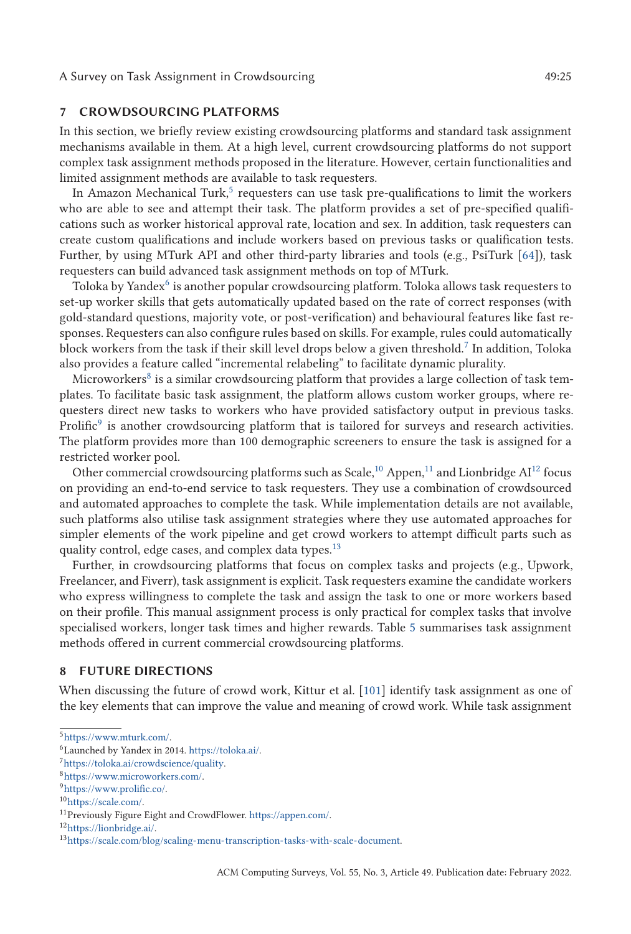## <span id="page-24-0"></span>**7 CROWDSOURCING PLATFORMS**

In this section, we briefly review existing crowdsourcing platforms and standard task assignment mechanisms available in them. At a high level, current crowdsourcing platforms do not support complex task assignment methods proposed in the literature. However, certain functionalities and limited assignment methods are available to task requesters.

In Amazon Mechanical Turk, $5$  requesters can use task pre-qualifications to limit the workers who are able to see and attempt their task. The platform provides a set of pre-specified qualifications such as worker historical approval rate, location and sex. In addition, task requesters can create custom qualifications and include workers based on previous tasks or qualification tests. Further, by using MTurk API and other third-party libraries and tools (e.g., PsiTurk [\[64\]](#page-29-0)), task requesters can build advanced task assignment methods on top of MTurk.

Toloka by Yandex $6$  is another popular crowdsourcing platform. Toloka allows task requesters to set-up worker skills that gets automatically updated based on the rate of correct responses (with gold-standard questions, majority vote, or post-verification) and behavioural features like fast responses. Requesters can also configure rules based on skills. For example, rules could automatically block workers from the task if their skill level drops below a given threshold.<sup>7</sup> In addition, Toloka also provides a feature called "incremental relabeling" to facilitate dynamic plurality.

Microworkers<sup>8</sup> is a similar crowdsourcing platform that provides a large collection of task templates. To facilitate basic task assignment, the platform allows custom worker groups, where requesters direct new tasks to workers who have provided satisfactory output in previous tasks. Prolific<sup>9</sup> is another crowdsourcing platform that is tailored for surveys and research activities. The platform provides more than 100 demographic screeners to ensure the task is assigned for a restricted worker pool.

Other commercial crowdsourcing platforms such as Scale,<sup>10</sup> Appen,<sup>11</sup> and Lionbridge  $Al^{12}$  focus on providing an end-to-end service to task requesters. They use a combination of crowdsourced and automated approaches to complete the task. While implementation details are not available, such platforms also utilise task assignment strategies where they use automated approaches for simpler elements of the work pipeline and get crowd workers to attempt difficult parts such as quality control, edge cases, and complex data types.<sup>13</sup>

Further, in crowdsourcing platforms that focus on complex tasks and projects (e.g., Upwork, Freelancer, and Fiverr), task assignment is explicit. Task requesters examine the candidate workers who express willingness to complete the task and assign the task to one or more workers based on their profile. This manual assignment process is only practical for complex tasks that involve specialised workers, longer task times and higher rewards. Table [5](#page-25-0) summarises task assignment methods offered in current commercial crowdsourcing platforms.

### **8 FUTURE DIRECTIONS**

When discussing the future of crowd work, Kittur et al. [\[101\]](#page-31-0) identify task assignment as one of the key elements that can improve the value and meaning of crowd work. While task assignment

 $5$  https://www.mturk.com/.

<sup>6</sup>Launched by Yandex in 2014. [https://toloka.ai/.](https://toloka.ai/)

[<sup>7</sup>https://toloka.ai/crowdscience/quality.](https://toloka.ai/crowdscience/quality)

[<sup>8</sup>https://www.microworkers.com/.](https://www.microworkers.com/)

[<sup>9</sup>https://www.prolific.co/.](https://www.prolific.co/)

<sup>1</sup>[0https://scale.com/.](https://scale.com/)

<sup>11</sup>Previously Figure Eight and CrowdFlower. [https://appen.com/.](https://appen.com/)

<sup>1</sup>[2https://lionbridge.ai/.](https://lionbridge.ai/)

<sup>1</sup>[3https://scale.com/blog/scaling-menu-transcription-tasks-with-scale-document.](https://scale.com/blog/scaling-menu-transcription-tasks-with-scale-document)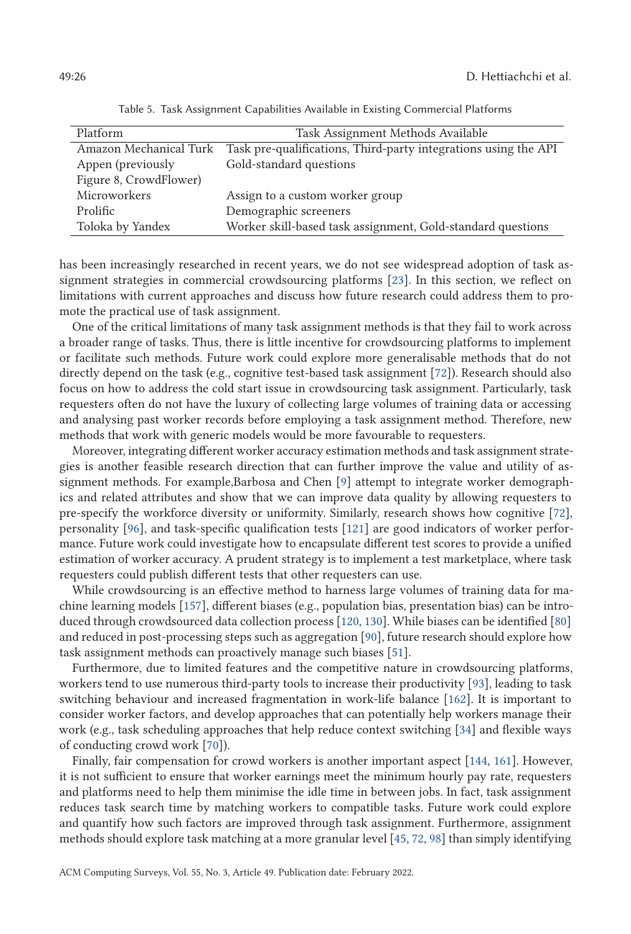<span id="page-25-0"></span>

| Platform               | Task Assignment Methods Available                               |
|------------------------|-----------------------------------------------------------------|
| Amazon Mechanical Turk | Task pre-qualifications, Third-party integrations using the API |
| Appen (previously      | Gold-standard questions                                         |
| Figure 8, CrowdFlower) |                                                                 |
| Microworkers           | Assign to a custom worker group                                 |
| Prolific               | Demographic screeners                                           |
| Toloka by Yandex       | Worker skill-based task assignment, Gold-standard questions     |

Table 5. Task Assignment Capabilities Available in Existing Commercial Platforms

has been increasingly researched in recent years, we do not see widespread adoption of task assignment strategies in commercial crowdsourcing platforms [\[23\]](#page-27-0). In this section, we reflect on limitations with current approaches and discuss how future research could address them to promote the practical use of task assignment.

One of the critical limitations of many task assignment methods is that they fail to work across a broader range of tasks. Thus, there is little incentive for crowdsourcing platforms to implement or facilitate such methods. Future work could explore more generalisable methods that do not directly depend on the task (e.g., cognitive test-based task assignment [\[72\]](#page-29-0)). Research should also focus on how to address the cold start issue in crowdsourcing task assignment. Particularly, task requesters often do not have the luxury of collecting large volumes of training data or accessing and analysing past worker records before employing a task assignment method. Therefore, new methods that work with generic models would be more favourable to requesters.

Moreover, integrating different worker accuracy estimation methods and task assignment strategies is another feasible research direction that can further improve the value and utility of assignment methods. For example,Barbosa and Chen [\[9\]](#page-26-0) attempt to integrate worker demographics and related attributes and show that we can improve data quality by allowing requesters to pre-specify the workforce diversity or uniformity. Similarly, research shows how cognitive [\[72\]](#page-29-0), personality [\[96\]](#page-31-0), and task-specific qualification tests [\[121\]](#page-32-0) are good indicators of worker performance. Future work could investigate how to encapsulate different test scores to provide a unified estimation of worker accuracy. A prudent strategy is to implement a test marketplace, where task requesters could publish different tests that other requesters can use.

While crowdsourcing is an effective method to harness large volumes of training data for machine learning models [\[157\]](#page-34-0), different biases (e.g., population bias, presentation bias) can be introduced through crowdsourced data collection process [\[120,](#page-32-0) [130\]](#page-32-0). While biases can be identified [\[80\]](#page-30-0) and reduced in post-processing steps such as aggregation [\[90\]](#page-30-0), future research should explore how task assignment methods can proactively manage such biases [\[51\]](#page-28-0).

Furthermore, due to limited features and the competitive nature in crowdsourcing platforms, workers tend to use numerous third-party tools to increase their productivity [\[93\]](#page-30-0), leading to task switching behaviour and increased fragmentation in work-life balance [\[162\]](#page-34-0). It is important to consider worker factors, and develop approaches that can potentially help workers manage their work (e.g., task scheduling approaches that help reduce context switching [\[34\]](#page-28-0) and flexible ways of conducting crowd work [\[70\]](#page-29-0)).

Finally, fair compensation for crowd workers is another important aspect [\[144,](#page-33-0) [161\]](#page-34-0). However, it is not sufficient to ensure that worker earnings meet the minimum hourly pay rate, requesters and platforms need to help them minimise the idle time in between jobs. In fact, task assignment reduces task search time by matching workers to compatible tasks. Future work could explore and quantify how such factors are improved through task assignment. Furthermore, assignment methods should explore task matching at a more granular level [\[45,](#page-28-0) [72,](#page-29-0) [98\]](#page-31-0) than simply identifying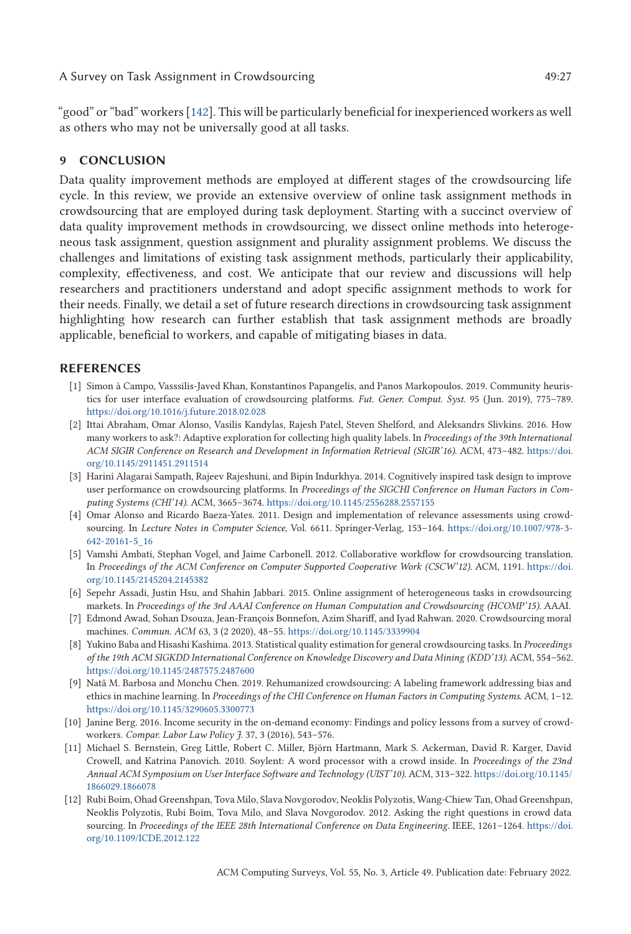<span id="page-26-0"></span>"good" or "bad" workers [\[142\]](#page-33-0). This will be particularly beneficial for inexperienced workers as well as others who may not be universally good at all tasks.

# **9 CONCLUSION**

Data quality improvement methods are employed at different stages of the crowdsourcing life cycle. In this review, we provide an extensive overview of online task assignment methods in crowdsourcing that are employed during task deployment. Starting with a succinct overview of data quality improvement methods in crowdsourcing, we dissect online methods into heterogeneous task assignment, question assignment and plurality assignment problems. We discuss the challenges and limitations of existing task assignment methods, particularly their applicability, complexity, effectiveness, and cost. We anticipate that our review and discussions will help researchers and practitioners understand and adopt specific assignment methods to work for their needs. Finally, we detail a set of future research directions in crowdsourcing task assignment highlighting how research can further establish that task assignment methods are broadly applicable, beneficial to workers, and capable of mitigating biases in data.

# **REFERENCES**

- [1] Simon à Campo, Vasssilis-Javed Khan, Konstantinos Papangelis, and Panos Markopoulos. 2019. Community heuristics for user interface evaluation of crowdsourcing platforms. *Fut. Gener. Comput. Syst.* 95 (Jun. 2019), 775–789. <https://doi.org/10.1016/j.future.2018.02.028>
- [2] Ittai Abraham, Omar Alonso, Vasilis Kandylas, Rajesh Patel, Steven Shelford, and Aleksandrs Slivkins. 2016. How many workers to ask?: Adaptive exploration for collecting high quality labels. In *Proceedings of the 39th International [ACM SIGIR Conference on Research and Development in Information Retrieval \(SIGIR'16\)](https://doi.org/10.1145/2911451.2911514)*. ACM, 473–482. https://doi. org/10.1145/2911451.2911514
- [3] Harini Alagarai Sampath, Rajeev Rajeshuni, and Bipin Indurkhya. 2014. Cognitively inspired task design to improve user performance on crowdsourcing platforms. In *Proceedings of the SIGCHI Conference on Human Factors in Computing Systems (CHI'14)*. ACM, 3665–3674. <https://doi.org/10.1145/2556288.2557155>
- [4] Omar Alonso and Ricardo Baeza-Yates. 2011. Design and implementation of relevance assessments using crowdsourcing. In *Lecture Notes in Computer Science*[, Vol. 6611. Springer-Verlag, 153–164.](https://doi.org/10.1007/978-3-642-20161-5_16) https://doi.org/10.1007/978-3- 642-20161-5\_16
- [5] Vamshi Ambati, Stephan Vogel, and Jaime Carbonell. 2012. Collaborative workflow for crowdsourcing translation. In *[Proceedings of the ACM Conference on Computer Supported Cooperative Work \(CSCW'12\)](https://doi.org/10.1145/2145204.2145382)*. ACM, 1191. https://doi. org/10.1145/2145204.2145382
- [6] Sepehr Assadi, Justin Hsu, and Shahin Jabbari. 2015. Online assignment of heterogeneous tasks in crowdsourcing markets. In *Proceedings of the 3rd AAAI Conference on Human Computation and Crowdsourcing (HCOMP'15)*. AAAI.
- [7] Edmond Awad, Sohan Dsouza, Jean-François Bonnefon, Azim Shariff, and Iyad Rahwan. 2020. Crowdsourcing moral machines. *Commun. ACM* 63, 3 (2 2020), 48–55. <https://doi.org/10.1145/3339904>
- [8] Yukino Baba and Hisashi Kashima. 2013. Statistical quality estimation for general crowdsourcing tasks. In *Proceedings of the 19th ACM SIGKDD International Conference on Knowledge Discovery and Data Mining (KDD'13)*. ACM, 554–562. <https://doi.org/10.1145/2487575.2487600>
- [9] Natã M. Barbosa and Monchu Chen. 2019. Rehumanized crowdsourcing: A labeling framework addressing bias and ethics in machine learning. In *Proceedings of the CHI Conference on Human Factors in Computing Systems*. ACM, 1–12. <https://doi.org/10.1145/3290605.3300773>
- [10] Janine Berg. 2016. Income security in the on-demand economy: Findings and policy lessons from a survey of crowdworkers. *Compar. Labor Law Policy J.* 37, 3 (2016), 543–576.
- [11] Michael S. Bernstein, Greg Little, Robert C. Miller, Björn Hartmann, Mark S. Ackerman, David R. Karger, David Crowell, and Katrina Panovich. 2010. Soylent: A word processor with a crowd inside. In *Proceedings of the 23nd [Annual ACM Symposium on User Interface Software and Technology \(UIST'10\)](https://doi.org/10.1145/1866029.1866078)*. ACM, 313–322. https://doi.org/10.1145/ 1866029.1866078
- [12] Rubi Boim, Ohad Greenshpan, Tova Milo, Slava Novgorodov, Neoklis Polyzotis, Wang-Chiew Tan, Ohad Greenshpan, Neoklis Polyzotis, Rubi Boim, Tova Milo, and Slava Novgorodov. 2012. Asking the right questions in crowd data sourcing. In *[Proceedings of the IEEE 28th International Conference on Data Engineering](https://doi.org/10.1109/ICDE.2012.122)*. IEEE, 1261–1264. https://doi. org/10.1109/ICDE.2012.122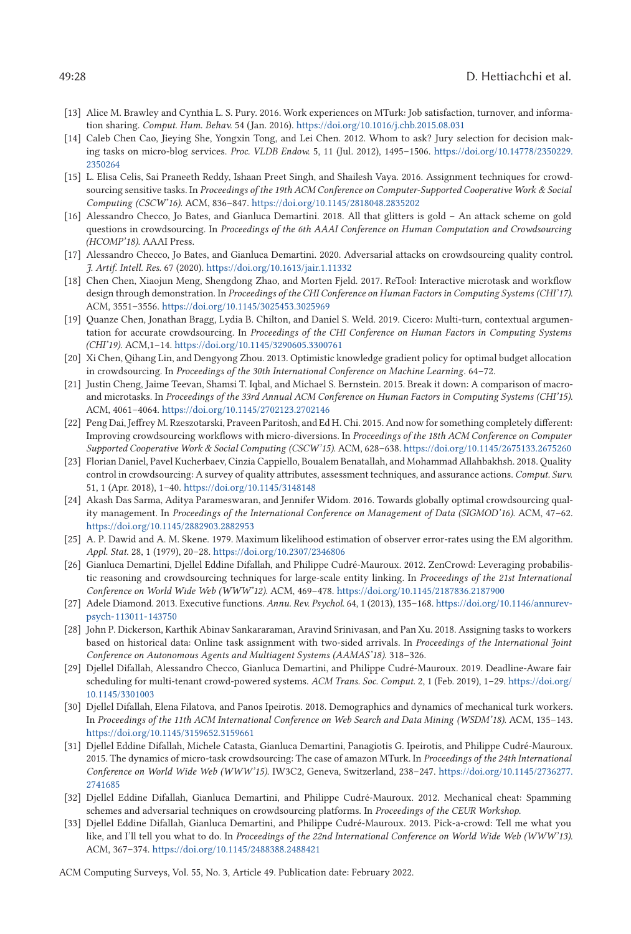- <span id="page-27-0"></span>[13] Alice M. Brawley and Cynthia L. S. Pury. 2016. Work experiences on MTurk: Job satisfaction, turnover, and information sharing. *Comput. Hum. Behav.* 54 (Jan. 2016). <https://doi.org/10.1016/j.chb.2015.08.031>
- [14] Caleb Chen Cao, Jieying She, Yongxin Tong, and Lei Chen. 2012. Whom to ask? Jury selection for decision mak[ing tasks on micro-blog services.](https://doi.org/10.14778/2350229.2350264) *Proc. VLDB Endow.* 5, 11 (Jul. 2012), 1495–1506. https://doi.org/10.14778/2350229. 2350264
- [15] L. Elisa Celis, Sai Praneeth Reddy, Ishaan Preet Singh, and Shailesh Vaya. 2016. Assignment techniques for crowdsourcing sensitive tasks. In *Proceedings of the 19th ACM Conference on Computer-Supported Cooperative Work & Social Computing (CSCW'16)*. ACM, 836–847. <https://doi.org/10.1145/2818048.2835202>
- [16] Alessandro Checco, Jo Bates, and Gianluca Demartini. 2018. All that glitters is gold An attack scheme on gold questions in crowdsourcing. In *Proceedings of the 6th AAAI Conference on Human Computation and Crowdsourcing (HCOMP'18)*. AAAI Press.
- [17] Alessandro Checco, Jo Bates, and Gianluca Demartini. 2020. Adversarial attacks on crowdsourcing quality control. *J. Artif. Intell. Res.* 67 (2020). <https://doi.org/10.1613/jair.1.11332>
- [18] Chen Chen, Xiaojun Meng, Shengdong Zhao, and Morten Fjeld. 2017. ReTool: Interactive microtask and workflow design through demonstration. In *Proceedings of the CHI Conference on Human Factors in Computing Systems (CHI'17)*. ACM, 3551–3556. <https://doi.org/10.1145/3025453.3025969>
- [19] Quanze Chen, Jonathan Bragg, Lydia B. Chilton, and Daniel S. Weld. 2019. Cicero: Multi-turn, contextual argumentation for accurate crowdsourcing. In *Proceedings of the CHI Conference on Human Factors in Computing Systems (CHI'19)*. ACM,1–14. <https://doi.org/10.1145/3290605.3300761>
- [20] Xi Chen, Qihang Lin, and Dengyong Zhou. 2013. Optimistic knowledge gradient policy for optimal budget allocation in crowdsourcing. In *Proceedings of the 30th International Conference on Machine Learning*. 64–72.
- [21] Justin Cheng, Jaime Teevan, Shamsi T. Iqbal, and Michael S. Bernstein. 2015. Break it down: A comparison of macroand microtasks. In *Proceedings of the 33rd Annual ACM Conference on Human Factors in Computing Systems (CHI'15)*. ACM, 4061–4064. <https://doi.org/10.1145/2702123.2702146>
- [22] Peng Dai, Jeffrey M. Rzeszotarski, Praveen Paritosh, and Ed H. Chi. 2015. And now for something completely different: Improving crowdsourcing workflows with micro-diversions. In *Proceedings of the 18th ACM Conference on Computer Supported Cooperative Work & Social Computing (CSCW'15)*. ACM, 628–638. <https://doi.org/10.1145/2675133.2675260>
- [23] Florian Daniel, Pavel Kucherbaev, Cinzia Cappiello, Boualem Benatallah, and Mohammad Allahbakhsh. 2018. Quality control in crowdsourcing: A survey of quality attributes, assessment techniques, and assurance actions. *Comput. Surv.* 51, 1 (Apr. 2018), 1–40. <https://doi.org/10.1145/3148148>
- [24] Akash Das Sarma, Aditya Parameswaran, and Jennifer Widom. 2016. Towards globally optimal crowdsourcing quality management. In *Proceedings of the International Conference on Management of Data (SIGMOD'16)*. ACM, 47–62. <https://doi.org/10.1145/2882903.2882953>
- [25] A. P. Dawid and A. M. Skene. 1979. Maximum likelihood estimation of observer error-rates using the EM algorithm. *Appl. Stat.* 28, 1 (1979), 20–28. <https://doi.org/10.2307/2346806>
- [26] Gianluca Demartini, Djellel Eddine Difallah, and Philippe Cudré-Mauroux. 2012. ZenCrowd: Leveraging probabilistic reasoning and crowdsourcing techniques for large-scale entity linking. In *Proceedings of the 21st International Conference on World Wide Web (WWW'12)*. ACM, 469–478. <https://doi.org/10.1145/2187836.2187900>
- [27] [Adele Diamond. 2013. Executive functions.](https://doi.org/10.1146/annurev-psych-113011-143750) *Annu. Rev. Psychol.* 64, 1 (2013), 135–168. https://doi.org/10.1146/annurevpsych-113011-143750
- [28] John P. Dickerson, Karthik Abinav Sankararaman, Aravind Srinivasan, and Pan Xu. 2018. Assigning tasks to workers based on historical data: Online task assignment with two-sided arrivals. In *Proceedings of the International Joint Conference on Autonomous Agents and Multiagent Systems (AAMAS'18)*. 318–326.
- [29] Djellel Difallah, Alessandro Checco, Gianluca Demartini, and Philippe Cudré-Mauroux. 2019. Deadline-Aware fair [scheduling for multi-tenant crowd-powered systems.](https://doi.org/10.1145/3301003) *ACM Trans. Soc. Comput.* 2, 1 (Feb. 2019), 1–29. https://doi.org/ 10.1145/3301003
- [30] Djellel Difallah, Elena Filatova, and Panos Ipeirotis. 2018. Demographics and dynamics of mechanical turk workers. In *Proceedings of the 11th ACM International Conference on Web Search and Data Mining (WSDM'18)*. ACM, 135–143. <https://doi.org/10.1145/3159652.3159661>
- [31] Djellel Eddine Difallah, Michele Catasta, Gianluca Demartini, Panagiotis G. Ipeirotis, and Philippe Cudré-Mauroux. 2015. The dynamics of micro-task crowdsourcing: The case of amazon MTurk. In *Proceedings of the 24th International [Conference on World Wide Web \(WWW'15\)](https://doi.org/10.1145/2736277.2741685)*. IW3C2, Geneva, Switzerland, 238–247. https://doi.org/10.1145/2736277. 2741685
- [32] Djellel Eddine Difallah, Gianluca Demartini, and Philippe Cudré-Mauroux. 2012. Mechanical cheat: Spamming schemes and adversarial techniques on crowdsourcing platforms. In *Proceedings of the CEUR Workshop*.
- [33] Djellel Eddine Difallah, Gianluca Demartini, and Philippe Cudré-Mauroux. 2013. Pick-a-crowd: Tell me what you like, and I'll tell you what to do. In *Proceedings of the 22nd International Conference on World Wide Web (WWW'13)*. ACM, 367–374. <https://doi.org/10.1145/2488388.2488421>

ACM Computing Surveys, Vol. 55, No. 3, Article 49. Publication date: February 2022.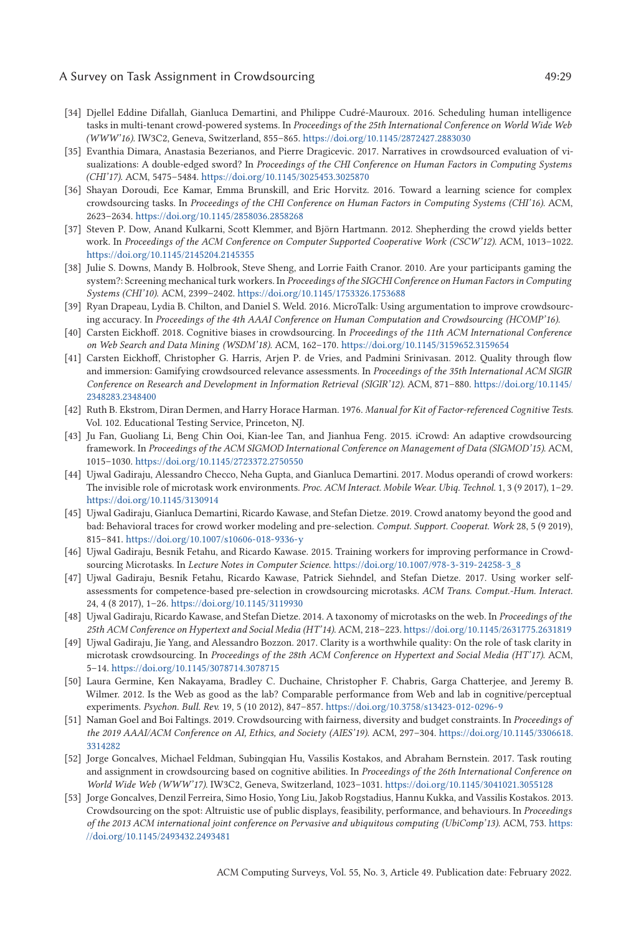#### <span id="page-28-0"></span>A Survey on Task Assignment in Crowdsourcing  $\overline{49:29}$

- [34] Djellel Eddine Difallah, Gianluca Demartini, and Philippe Cudré-Mauroux. 2016. Scheduling human intelligence tasks in multi-tenant crowd-powered systems. In *Proceedings of the 25th International Conference on World Wide Web (WWW'16)*. IW3C2, Geneva, Switzerland, 855–865. <https://doi.org/10.1145/2872427.2883030>
- [35] Evanthia Dimara, Anastasia Bezerianos, and Pierre Dragicevic. 2017. Narratives in crowdsourced evaluation of visualizations: A double-edged sword? In *Proceedings of the CHI Conference on Human Factors in Computing Systems (CHI'17)*. ACM, 5475–5484. <https://doi.org/10.1145/3025453.3025870>
- [36] Shayan Doroudi, Ece Kamar, Emma Brunskill, and Eric Horvitz. 2016. Toward a learning science for complex crowdsourcing tasks. In *Proceedings of the CHI Conference on Human Factors in Computing Systems (CHI'16)*. ACM, 2623–2634. <https://doi.org/10.1145/2858036.2858268>
- [37] Steven P. Dow, Anand Kulkarni, Scott Klemmer, and Björn Hartmann. 2012. Shepherding the crowd yields better work. In *Proceedings of the ACM Conference on Computer Supported Cooperative Work (CSCW'12)*. ACM, 1013–1022. <https://doi.org/10.1145/2145204.2145355>
- [38] Julie S. Downs, Mandy B. Holbrook, Steve Sheng, and Lorrie Faith Cranor. 2010. Are your participants gaming the system?: Screening mechanical turk workers. In *Proceedings of the SIGCHI Conference on Human Factors in Computing Systems (CHI'10)*. ACM, 2399–2402. <https://doi.org/10.1145/1753326.1753688>
- [39] Ryan Drapeau, Lydia B. Chilton, and Daniel S. Weld. 2016. MicroTalk: Using argumentation to improve crowdsourcing accuracy. In *Proceedings of the 4th AAAI Conference on Human Computation and Crowdsourcing (HCOMP'16)*.
- [40] Carsten Eickhoff. 2018. Cognitive biases in crowdsourcing. In *Proceedings of the 11th ACM International Conference on Web Search and Data Mining (WSDM'18)*. ACM, 162–170. <https://doi.org/10.1145/3159652.3159654>
- [41] Carsten Eickhoff, Christopher G. Harris, Arjen P. de Vries, and Padmini Srinivasan. 2012. Quality through flow and immersion: Gamifying crowdsourced relevance assessments. In *Proceedings of the 35th International ACM SIGIR [Conference on Research and Development in Information Retrieval \(SIGIR'12\)](https://doi.org/10.1145/2348283.2348400)*. ACM, 871–880. https://doi.org/10.1145/ 2348283.2348400
- [42] Ruth B. Ekstrom, Diran Dermen, and Harry Horace Harman. 1976. *Manual for Kit of Factor-referenced Cognitive Tests*. Vol. 102. Educational Testing Service, Princeton, NJ.
- [43] Ju Fan, Guoliang Li, Beng Chin Ooi, Kian-lee Tan, and Jianhua Feng. 2015. iCrowd: An adaptive crowdsourcing framework. In *Proceedings of the ACM SIGMOD International Conference on Management of Data (SIGMOD'15)*. ACM, 1015–1030. <https://doi.org/10.1145/2723372.2750550>
- [44] Ujwal Gadiraju, Alessandro Checco, Neha Gupta, and Gianluca Demartini. 2017. Modus operandi of crowd workers: The invisible role of microtask work environments. *Proc. ACM Interact. Mobile Wear. Ubiq. Technol.* 1, 3 (9 2017), 1–29. <https://doi.org/10.1145/3130914>
- [45] Ujwal Gadiraju, Gianluca Demartini, Ricardo Kawase, and Stefan Dietze. 2019. Crowd anatomy beyond the good and bad: Behavioral traces for crowd worker modeling and pre-selection. *Comput. Support. Cooperat. Work* 28, 5 (9 2019), 815–841. <https://doi.org/10.1007/s10606-018-9336-y>
- [46] Ujwal Gadiraju, Besnik Fetahu, and Ricardo Kawase. 2015. Training workers for improving performance in Crowdsourcing Microtasks. In *Lecture Notes in Computer Science*. [https://doi.org/10.1007/978-3-319-24258-3\\_8](https://doi.org/10.1007/978-3-319-24258-3_8)
- [47] Ujwal Gadiraju, Besnik Fetahu, Ricardo Kawase, Patrick Siehndel, and Stefan Dietze. 2017. Using worker selfassessments for competence-based pre-selection in crowdsourcing microtasks. *ACM Trans. Comput.-Hum. Interact.* 24, 4 (8 2017), 1–26. <https://doi.org/10.1145/3119930>
- [48] Ujwal Gadiraju, Ricardo Kawase, and Stefan Dietze. 2014. A taxonomy of microtasks on the web. In *Proceedings of the 25th ACM Conference on Hypertext and Social Media (HT'14)*. ACM, 218–223. <https://doi.org/10.1145/2631775.2631819>
- [49] Ujwal Gadiraju, Jie Yang, and Alessandro Bozzon. 2017. Clarity is a worthwhile quality: On the role of task clarity in microtask crowdsourcing. In *Proceedings of the 28th ACM Conference on Hypertext and Social Media (HT'17)*. ACM, 5–14. <https://doi.org/10.1145/3078714.3078715>
- [50] Laura Germine, Ken Nakayama, Bradley C. Duchaine, Christopher F. Chabris, Garga Chatterjee, and Jeremy B. Wilmer. 2012. Is the Web as good as the lab? Comparable performance from Web and lab in cognitive/perceptual experiments. *Psychon. Bull. Rev.* 19, 5 (10 2012), 847–857. <https://doi.org/10.3758/s13423-012-0296-9>
- [51] Naman Goel and Boi Faltings. 2019. Crowdsourcing with fairness, diversity and budget constraints. In *Proceedings of [the 2019 AAAI/ACM Conference on AI, Ethics, and Society \(AIES'19\)](https://doi.org/10.1145/3306618.3314282)*. ACM, 297–304. https://doi.org/10.1145/3306618. 3314282
- [52] Jorge Goncalves, Michael Feldman, Subingqian Hu, Vassilis Kostakos, and Abraham Bernstein. 2017. Task routing and assignment in crowdsourcing based on cognitive abilities. In *Proceedings of the 26th International Conference on World Wide Web (WWW'17)*. IW3C2, Geneva, Switzerland, 1023–1031. <https://doi.org/10.1145/3041021.3055128>
- [53] Jorge Goncalves, Denzil Ferreira, Simo Hosio, Yong Liu, Jakob Rogstadius, Hannu Kukka, and Vassilis Kostakos. 2013. Crowdsourcing on the spot: Altruistic use of public displays, feasibility, performance, and behaviours. In *Proceedings [of the 2013 ACM international joint conference on Pervasive and ubiquitous computing \(UbiComp'13\)](https://doi.org/10.1145/2493432.2493481)*. ACM, 753. https: //doi.org/10.1145/2493432.2493481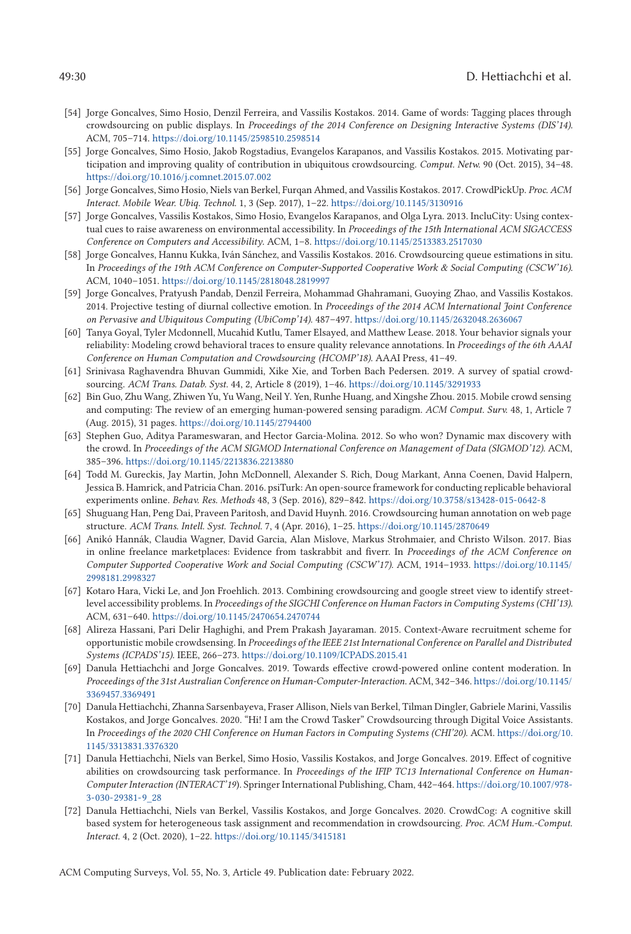#### <span id="page-29-0"></span>49:30 D. Hettiachchi et al.

- [54] Jorge Goncalves, Simo Hosio, Denzil Ferreira, and Vassilis Kostakos. 2014. Game of words: Tagging places through crowdsourcing on public displays. In *Proceedings of the 2014 Conference on Designing Interactive Systems (DIS'14)*. ACM, 705–714. <https://doi.org/10.1145/2598510.2598514>
- [55] Jorge Goncalves, Simo Hosio, Jakob Rogstadius, Evangelos Karapanos, and Vassilis Kostakos. 2015. Motivating participation and improving quality of contribution in ubiquitous crowdsourcing. *Comput. Netw.* 90 (Oct. 2015), 34–48. <https://doi.org/10.1016/j.comnet.2015.07.002>
- [56] Jorge Goncalves, Simo Hosio, Niels van Berkel, Furqan Ahmed, and Vassilis Kostakos. 2017. CrowdPickUp. *Proc. ACM Interact. Mobile Wear. Ubiq. Technol.* 1, 3 (Sep. 2017), 1–22. <https://doi.org/10.1145/3130916>
- [57] Jorge Goncalves, Vassilis Kostakos, Simo Hosio, Evangelos Karapanos, and Olga Lyra. 2013. IncluCity: Using contextual cues to raise awareness on environmental accessibility. In *Proceedings of the 15th International ACM SIGACCESS Conference on Computers and Accessibility*. ACM, 1–8. <https://doi.org/10.1145/2513383.2517030>
- [58] Jorge Goncalves, Hannu Kukka, Iván Sánchez, and Vassilis Kostakos. 2016. Crowdsourcing queue estimations in situ. In *Proceedings of the 19th ACM Conference on Computer-Supported Cooperative Work & Social Computing (CSCW'16)*. ACM, 1040–1051. <https://doi.org/10.1145/2818048.2819997>
- [59] Jorge Goncalves, Pratyush Pandab, Denzil Ferreira, Mohammad Ghahramani, Guoying Zhao, and Vassilis Kostakos. 2014. Projective testing of diurnal collective emotion. In *Proceedings of the 2014 ACM International Joint Conference on Pervasive and Ubiquitous Computing (UbiComp'14)*. 487–497. <https://doi.org/10.1145/2632048.2636067>
- [60] Tanya Goyal, Tyler Mcdonnell, Mucahid Kutlu, Tamer Elsayed, and Matthew Lease. 2018. Your behavior signals your reliability: Modeling crowd behavioral traces to ensure quality relevance annotations. In *Proceedings of the 6th AAAI Conference on Human Computation and Crowdsourcing (HCOMP'18)*. AAAI Press, 41–49.
- [61] Srinivasa Raghavendra Bhuvan Gummidi, Xike Xie, and Torben Bach Pedersen. 2019. A survey of spatial crowdsourcing. *ACM Trans. Datab. Syst.* 44, 2, Article 8 (2019), 1–46. <https://doi.org/10.1145/3291933>
- [62] Bin Guo, Zhu Wang, Zhiwen Yu, Yu Wang, Neil Y. Yen, Runhe Huang, and Xingshe Zhou. 2015. Mobile crowd sensing and computing: The review of an emerging human-powered sensing paradigm. *ACM Comput. Surv.* 48, 1, Article 7 (Aug. 2015), 31 pages. <https://doi.org/10.1145/2794400>
- [63] Stephen Guo, Aditya Parameswaran, and Hector Garcia-Molina. 2012. So who won? Dynamic max discovery with the crowd. In *Proceedings of the ACM SIGMOD International Conference on Management of Data (SIGMOD'12)*. ACM, 385–396. <https://doi.org/10.1145/2213836.2213880>
- [64] Todd M. Gureckis, Jay Martin, John McDonnell, Alexander S. Rich, Doug Markant, Anna Coenen, David Halpern, Jessica B. Hamrick, and Patricia Chan. 2016. psiTurk: An open-source framework for conducting replicable behavioral experiments online. *Behav. Res. Methods* 48, 3 (Sep. 2016), 829–842. <https://doi.org/10.3758/s13428-015-0642-8>
- [65] Shuguang Han, Peng Dai, Praveen Paritosh, and David Huynh. 2016. Crowdsourcing human annotation on web page structure. *ACM Trans. Intell. Syst. Technol.* 7, 4 (Apr. 2016), 1–25. <https://doi.org/10.1145/2870649>
- [66] Anikó Hannák, Claudia Wagner, David Garcia, Alan Mislove, Markus Strohmaier, and Christo Wilson. 2017. Bias in online freelance marketplaces: Evidence from taskrabbit and fiverr. In *Proceedings of the ACM Conference on [Computer Supported Cooperative Work and Social Computing \(CSCW'17\)](https://doi.org/10.1145/2998181.2998327)*. ACM, 1914–1933. https://doi.org/10.1145/ 2998181.2998327
- [67] Kotaro Hara, Vicki Le, and Jon Froehlich. 2013. Combining crowdsourcing and google street view to identify streetlevel accessibility problems. In *Proceedings of the SIGCHI Conference on Human Factors in Computing Systems (CHI'13)*. ACM, 631–640. <https://doi.org/10.1145/2470654.2470744>
- [68] Alireza Hassani, Pari Delir Haghighi, and Prem Prakash Jayaraman. 2015. Context-Aware recruitment scheme for opportunistic mobile crowdsensing. In *Proceedings of the IEEE 21st International Conference on Parallel and Distributed Systems (ICPADS'15)*. IEEE, 266–273. <https://doi.org/10.1109/ICPADS.2015.41>
- [69] Danula Hettiachchi and Jorge Goncalves. 2019. Towards effective crowd-powered online content moderation. In *[Proceedings of the 31st Australian Conference on Human-Computer-Interaction](https://doi.org/10.1145/3369457.3369491)*. ACM, 342–346. https://doi.org/10.1145/ 3369457.3369491
- [70] Danula Hettiachchi, Zhanna Sarsenbayeva, Fraser Allison, Niels van Berkel, Tilman Dingler, Gabriele Marini, Vassilis Kostakos, and Jorge Goncalves. 2020. "Hi! I am the Crowd Tasker" Crowdsourcing through Digital Voice Assistants. In *[Proceedings of the 2020 CHI Conference on Human Factors in Computing Systems \(CHI'20\)](https://doi.org/10.1145/3313831.3376320)*. ACM. https://doi.org/10. 1145/3313831.3376320
- [71] Danula Hettiachchi, Niels van Berkel, Simo Hosio, Vassilis Kostakos, and Jorge Goncalves. 2019. Effect of cognitive abilities on crowdsourcing task performance. In *Proceedings of the IFIP TC13 International Conference on Human-Computer Interaction (INTERACT'19*[\). Springer International Publishing, Cham, 442–464.](https://doi.org/10.1007/978-3-030-29381-9_28) https://doi.org/10.1007/978- 3-030-29381-9\_28
- [72] Danula Hettiachchi, Niels van Berkel, Vassilis Kostakos, and Jorge Goncalves. 2020. CrowdCog: A cognitive skill based system for heterogeneous task assignment and recommendation in crowdsourcing. *Proc. ACM Hum.-Comput. Interact.* 4, 2 (Oct. 2020), 1–22. <https://doi.org/10.1145/3415181>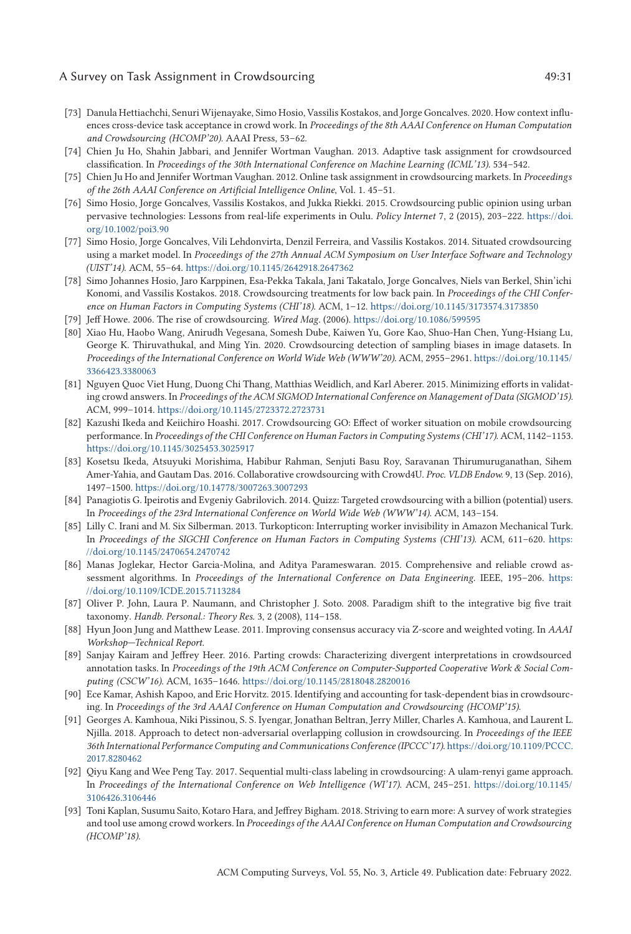### <span id="page-30-0"></span>A Survey on Task Assignment in Crowdsourcing  $49:31$

- [73] Danula Hettiachchi, Senuri Wijenayake, Simo Hosio, Vassilis Kostakos, and Jorge Goncalves. 2020. How context influences cross-device task acceptance in crowd work. In *Proceedings of the 8th AAAI Conference on Human Computation and Crowdsourcing (HCOMP'20)*. AAAI Press, 53–62.
- [74] Chien Ju Ho, Shahin Jabbari, and Jennifer Wortman Vaughan. 2013. Adaptive task assignment for crowdsourced classification. In *Proceedings of the 30th International Conference on Machine Learning (ICML'13)*. 534–542.
- [75] Chien Ju Ho and Jennifer Wortman Vaughan. 2012. Online task assignment in crowdsourcing markets. In *Proceedings of the 26th AAAI Conference on Artificial Intelligence Online*, Vol. 1. 45–51.
- [76] Simo Hosio, Jorge Goncalves, Vassilis Kostakos, and Jukka Riekki. 2015. Crowdsourcing public opinion using urban [pervasive technologies: Lessons from real-life experiments in Oulu.](https://doi.org/10.1002/poi3.90) *Policy Internet* 7, 2 (2015), 203–222. https://doi. org/10.1002/poi3.90
- [77] Simo Hosio, Jorge Goncalves, Vili Lehdonvirta, Denzil Ferreira, and Vassilis Kostakos. 2014. Situated crowdsourcing using a market model. In *Proceedings of the 27th Annual ACM Symposium on User Interface Software and Technology (UIST'14)*. ACM, 55–64. <https://doi.org/10.1145/2642918.2647362>
- [78] Simo Johannes Hosio, Jaro Karppinen, Esa-Pekka Takala, Jani Takatalo, Jorge Goncalves, Niels van Berkel, Shin'ichi Konomi, and Vassilis Kostakos. 2018. Crowdsourcing treatments for low back pain. In *Proceedings of the CHI Conference on Human Factors in Computing Systems (CHI'18)*. ACM, 1–12. <https://doi.org/10.1145/3173574.3173850>
- [79] Jeff Howe. 2006. The rise of crowdsourcing. *Wired Mag.* (2006). <https://doi.org/10.1086/599595>
- [80] Xiao Hu, Haobo Wang, Anirudh Vegesana, Somesh Dube, Kaiwen Yu, Gore Kao, Shuo-Han Chen, Yung-Hsiang Lu, George K. Thiruvathukal, and Ming Yin. 2020. Crowdsourcing detection of sampling biases in image datasets. In *[Proceedings of the International Conference on World Wide Web \(WWW'20\)](https://doi.org/10.1145/3366423.3380063)*. ACM, 2955–2961. https://doi.org/10.1145/ 3366423.3380063
- [81] Nguyen Quoc Viet Hung, Duong Chi Thang, Matthias Weidlich, and Karl Aberer. 2015. Minimizing efforts in validating crowd answers. In *Proceedings of the ACM SIGMOD International Conference on Management of Data (SIGMOD'15)*. ACM, 999–1014. <https://doi.org/10.1145/2723372.2723731>
- [82] Kazushi Ikeda and Keiichiro Hoashi. 2017. Crowdsourcing GO: Effect of worker situation on mobile crowdsourcing performance. In *Proceedings of the CHI Conference on Human Factors in Computing Systems (CHI'17)*. ACM, 1142–1153. <https://doi.org/10.1145/3025453.3025917>
- [83] Kosetsu Ikeda, Atsuyuki Morishima, Habibur Rahman, Senjuti Basu Roy, Saravanan Thirumuruganathan, Sihem Amer-Yahia, and Gautam Das. 2016. Collaborative crowdsourcing with Crowd4U. *Proc. VLDB Endow.* 9, 13 (Sep. 2016), 1497–1500. <https://doi.org/10.14778/3007263.3007293>
- [84] Panagiotis G. Ipeirotis and Evgeniy Gabrilovich. 2014. Quizz: Targeted crowdsourcing with a billion (potential) users. In *Proceedings of the 23rd International Conference on World Wide Web (WWW'14)*. ACM, 143–154.
- [85] Lilly C. Irani and M. Six Silberman. 2013. Turkopticon: Interrupting worker invisibility in Amazon Mechanical Turk. In *[Proceedings of the SIGCHI Conference on Human Factors in Computing Systems \(CHI'13\)](https://doi.org/10.1145/2470654.2470742)*. ACM, 611–620. https: //doi.org/10.1145/2470654.2470742
- [86] Manas Joglekar, Hector Garcia-Molina, and Aditya Parameswaran. 2015. Comprehensive and reliable crowd assessment algorithms. In *[Proceedings of the International Conference on Data Engineering](https://doi.org/10.1109/ICDE.2015.7113284)*. IEEE, 195–206. https: //doi.org/10.1109/ICDE.2015.7113284
- [87] Oliver P. John, Laura P. Naumann, and Christopher J. Soto. 2008. Paradigm shift to the integrative big five trait taxonomy. *Handb. Personal.: Theory Res.* 3, 2 (2008), 114–158.
- [88] Hyun Joon Jung and Matthew Lease. 2011. Improving consensus accuracy via Z-score and weighted voting. In *AAAI Workshop—Technical Report*.
- [89] Sanjay Kairam and Jeffrey Heer. 2016. Parting crowds: Characterizing divergent interpretations in crowdsourced annotation tasks. In *Proceedings of the 19th ACM Conference on Computer-Supported Cooperative Work & Social Computing (CSCW'16)*. ACM, 1635–1646. <https://doi.org/10.1145/2818048.2820016>
- [90] Ece Kamar, Ashish Kapoo, and Eric Horvitz. 2015. Identifying and accounting for task-dependent bias in crowdsourcing. In *Proceedings of the 3rd AAAI Conference on Human Computation and Crowdsourcing (HCOMP'15)*.
- [91] Georges A. Kamhoua, Niki Pissinou, S. S. Iyengar, Jonathan Beltran, Jerry Miller, Charles A. Kamhoua, and Laurent L. Njilla. 2018. Approach to detect non-adversarial overlapping collusion in crowdsourcing. In *Proceedings of the IEEE [36th International Performance Computing and Communications Conference \(IPCCC'17\)](https://doi.org/10.1109/PCCC.2017.8280462)*. https://doi.org/10.1109/PCCC. 2017.8280462
- [92] Qiyu Kang and Wee Peng Tay. 2017. Sequential multi-class labeling in crowdsourcing: A ulam-renyi game approach. In *[Proceedings of the International Conference on Web Intelligence \(WI'17\)](https://doi.org/10.1145/3106426.3106446)*. ACM, 245–251. https://doi.org/10.1145/ 3106426.3106446
- [93] Toni Kaplan, Susumu Saito, Kotaro Hara, and Jeffrey Bigham. 2018. Striving to earn more: A survey of work strategies and tool use among crowd workers. In *Proceedings of the AAAI Conference on Human Computation and Crowdsourcing (HCOMP'18)*.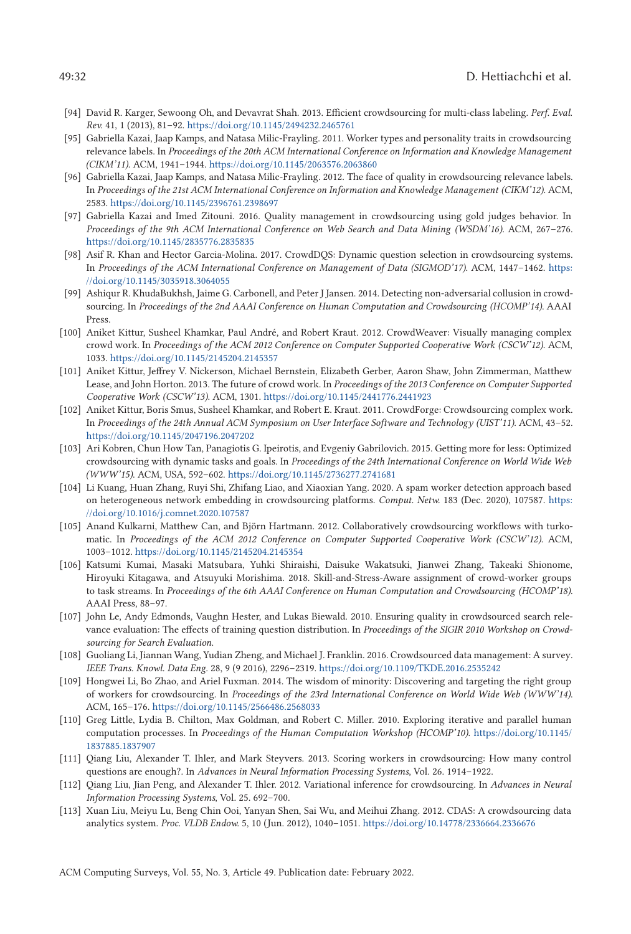- <span id="page-31-0"></span>[94] David R. Karger, Sewoong Oh, and Devavrat Shah. 2013. Efficient crowdsourcing for multi-class labeling. *Perf. Eval. Rev.* 41, 1 (2013), 81–92. <https://doi.org/10.1145/2494232.2465761>
- [95] Gabriella Kazai, Jaap Kamps, and Natasa Milic-Frayling. 2011. Worker types and personality traits in crowdsourcing relevance labels. In *Proceedings of the 20th ACM International Conference on Information and Knowledge Management (CIKM'11)*. ACM, 1941–1944. <https://doi.org/10.1145/2063576.2063860>
- [96] Gabriella Kazai, Jaap Kamps, and Natasa Milic-Frayling. 2012. The face of quality in crowdsourcing relevance labels. In *Proceedings of the 21st ACM International Conference on Information and Knowledge Management (CIKM'12)*. ACM, 2583. <https://doi.org/10.1145/2396761.2398697>
- [97] Gabriella Kazai and Imed Zitouni. 2016. Quality management in crowdsourcing using gold judges behavior. In *Proceedings of the 9th ACM International Conference on Web Search and Data Mining (WSDM'16)*. ACM, 267–276. <https://doi.org/10.1145/2835776.2835835>
- [98] Asif R. Khan and Hector Garcia-Molina. 2017. CrowdDQS: Dynamic question selection in crowdsourcing systems. In *[Proceedings of the ACM International Conference on Management of Data \(SIGMOD'17\)](https://doi.org/10.1145/3035918.3064055)*. ACM, 1447–1462. https: //doi.org/10.1145/3035918.3064055
- [99] Ashiqur R. KhudaBukhsh, Jaime G. Carbonell, and Peter J Jansen. 2014. Detecting non-adversarial collusion in crowdsourcing. In *Proceedings of the 2nd AAAI Conference on Human Computation and Crowdsourcing (HCOMP'14)*. AAAI Press.
- [100] Aniket Kittur, Susheel Khamkar, Paul André, and Robert Kraut. 2012. CrowdWeaver: Visually managing complex crowd work. In *Proceedings of the ACM 2012 Conference on Computer Supported Cooperative Work (CSCW'12)*. ACM, 1033. <https://doi.org/10.1145/2145204.2145357>
- [101] Aniket Kittur, Jeffrey V. Nickerson, Michael Bernstein, Elizabeth Gerber, Aaron Shaw, John Zimmerman, Matthew Lease, and John Horton. 2013. The future of crowd work. In *Proceedings of the 2013 Conference on Computer Supported Cooperative Work (CSCW'13)*. ACM, 1301. <https://doi.org/10.1145/2441776.2441923>
- [102] Aniket Kittur, Boris Smus, Susheel Khamkar, and Robert E. Kraut. 2011. CrowdForge: Crowdsourcing complex work. In *Proceedings of the 24th Annual ACM Symposium on User Interface Software and Technology (UIST'11)*. ACM, 43–52. <https://doi.org/10.1145/2047196.2047202>
- [103] Ari Kobren, Chun How Tan, Panagiotis G. Ipeirotis, and Evgeniy Gabrilovich. 2015. Getting more for less: Optimized crowdsourcing with dynamic tasks and goals. In *Proceedings of the 24th International Conference on World Wide Web (WWW'15)*. ACM, USA, 592–602. <https://doi.org/10.1145/2736277.2741681>
- [104] Li Kuang, Huan Zhang, Ruyi Shi, Zhifang Liao, and Xiaoxian Yang. 2020. A spam worker detection approach based [on heterogeneous network embedding in crowdsourcing platforms.](https://doi.org/10.1016/j.comnet.2020.107587) *Comput. Netw.* 183 (Dec. 2020), 107587. https: //doi.org/10.1016/j.comnet.2020.107587
- [105] Anand Kulkarni, Matthew Can, and Björn Hartmann. 2012. Collaboratively crowdsourcing workflows with turkomatic. In *Proceedings of the ACM 2012 Conference on Computer Supported Cooperative Work (CSCW'12)*. ACM, 1003–1012. <https://doi.org/10.1145/2145204.2145354>
- [106] Katsumi Kumai, Masaki Matsubara, Yuhki Shiraishi, Daisuke Wakatsuki, Jianwei Zhang, Takeaki Shionome, Hiroyuki Kitagawa, and Atsuyuki Morishima. 2018. Skill-and-Stress-Aware assignment of crowd-worker groups to task streams. In *Proceedings of the 6th AAAI Conference on Human Computation and Crowdsourcing (HCOMP'18)*. AAAI Press, 88–97.
- [107] John Le, Andy Edmonds, Vaughn Hester, and Lukas Biewald. 2010. Ensuring quality in crowdsourced search relevance evaluation: The effects of training question distribution. In *Proceedings of the SIGIR 2010 Workshop on Crowdsourcing for Search Evaluation*.
- [108] Guoliang Li, Jiannan Wang, Yudian Zheng, and Michael J. Franklin. 2016. Crowdsourced data management: A survey. *IEEE Trans. Knowl. Data Eng.* 28, 9 (9 2016), 2296–2319. <https://doi.org/10.1109/TKDE.2016.2535242>
- [109] Hongwei Li, Bo Zhao, and Ariel Fuxman. 2014. The wisdom of minority: Discovering and targeting the right group of workers for crowdsourcing. In *Proceedings of the 23rd International Conference on World Wide Web (WWW'14)*. ACM, 165–176. <https://doi.org/10.1145/2566486.2568033>
- [110] Greg Little, Lydia B. Chilton, Max Goldman, and Robert C. Miller. 2010. Exploring iterative and parallel human computation processes. In *[Proceedings of the Human Computation Workshop \(HCOMP'10\)](https://doi.org/10.1145/1837885.1837907)*. https://doi.org/10.1145/ 1837885.1837907
- [111] Qiang Liu, Alexander T. Ihler, and Mark Steyvers. 2013. Scoring workers in crowdsourcing: How many control questions are enough?. In *Advances in Neural Information Processing Systems*, Vol. 26. 1914–1922.
- [112] Qiang Liu, Jian Peng, and Alexander T. Ihler. 2012. Variational inference for crowdsourcing. In *Advances in Neural Information Processing Systems*, Vol. 25. 692–700.
- [113] Xuan Liu, Meiyu Lu, Beng Chin Ooi, Yanyan Shen, Sai Wu, and Meihui Zhang. 2012. CDAS: A crowdsourcing data analytics system. *Proc. VLDB Endow.* 5, 10 (Jun. 2012), 1040–1051. <https://doi.org/10.14778/2336664.2336676>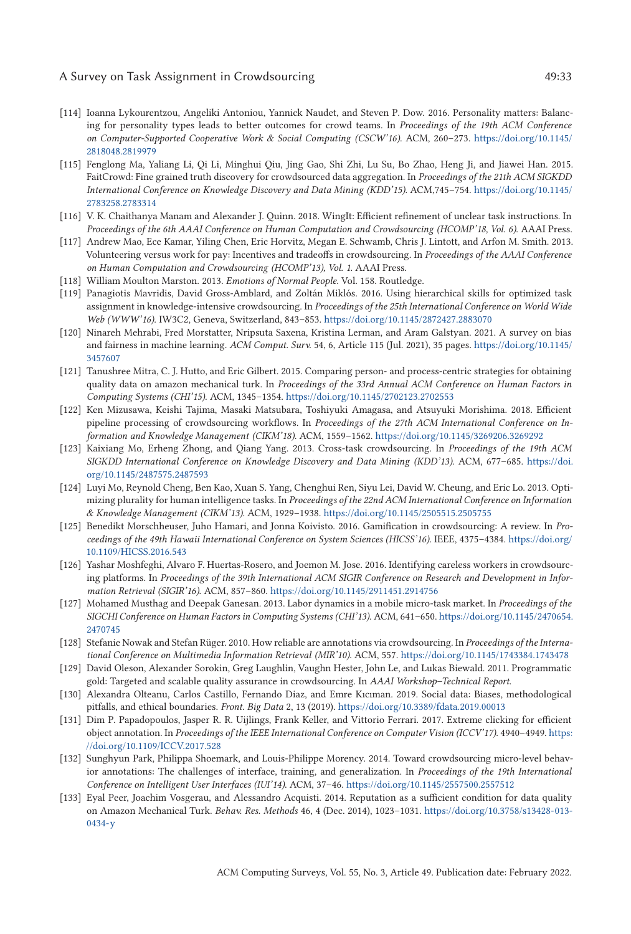### <span id="page-32-0"></span>A Survey on Task Assignment in Crowdsourcing  $\overline{49:33}$

- [114] Ioanna Lykourentzou, Angeliki Antoniou, Yannick Naudet, and Steven P. Dow. 2016. Personality matters: Balancing for personality types leads to better outcomes for crowd teams. In *Proceedings of the 19th ACM Conference [on Computer-Supported Cooperative Work & Social Computing \(CSCW'16\)](https://doi.org/10.1145/2818048.2819979)*. ACM, 260–273. https://doi.org/10.1145/ 2818048.2819979
- [115] Fenglong Ma, Yaliang Li, Qi Li, Minghui Qiu, Jing Gao, Shi Zhi, Lu Su, Bo Zhao, Heng Ji, and Jiawei Han. 2015. FaitCrowd: Fine grained truth discovery for crowdsourced data aggregation. In *Proceedings of the 21th ACM SIGKDD [International Conference on Knowledge Discovery and Data Mining \(KDD'15\)](https://doi.org/10.1145/2783258.2783314)*. ACM,745–754. https://doi.org/10.1145/ 2783258.2783314
- [116] V. K. Chaithanya Manam and Alexander J. Quinn. 2018. WingIt: Efficient refinement of unclear task instructions. In *Proceedings of the 6th AAAI Conference on Human Computation and Crowdsourcing (HCOMP'18, Vol. 6)*. AAAI Press.
- [117] Andrew Mao, Ece Kamar, Yiling Chen, Eric Horvitz, Megan E. Schwamb, Chris J. Lintott, and Arfon M. Smith. 2013. Volunteering versus work for pay: Incentives and tradeoffs in crowdsourcing. In *Proceedings of the AAAI Conference on Human Computation and Crowdsourcing (HCOMP'13), Vol. 1*. AAAI Press.
- [118] William Moulton Marston. 2013. *Emotions of Normal People*. Vol. 158. Routledge.
- [119] Panagiotis Mavridis, David Gross-Amblard, and Zoltán Miklós. 2016. Using hierarchical skills for optimized task assignment in knowledge-intensive crowdsourcing. In *Proceedings of the 25th International Conference on World Wide Web (WWW'16)*. IW3C2, Geneva, Switzerland, 843–853. <https://doi.org/10.1145/2872427.2883070>
- [120] Ninareh Mehrabi, Fred Morstatter, Nripsuta Saxena, Kristina Lerman, and Aram Galstyan. 2021. A survey on bias and fairness in machine learning. *ACM Comput. Surv.* [54, 6, Article 115 \(Jul. 2021\), 35 pages.](https://doi.org/10.1145/3457607) https://doi.org/10.1145/ 3457607
- [121] Tanushree Mitra, C. J. Hutto, and Eric Gilbert. 2015. Comparing person- and process-centric strategies for obtaining quality data on amazon mechanical turk. In *Proceedings of the 33rd Annual ACM Conference on Human Factors in Computing Systems (CHI'15)*. ACM, 1345–1354. <https://doi.org/10.1145/2702123.2702553>
- [122] Ken Mizusawa, Keishi Tajima, Masaki Matsubara, Toshiyuki Amagasa, and Atsuyuki Morishima. 2018. Efficient pipeline processing of crowdsourcing workflows. In *Proceedings of the 27th ACM International Conference on Information and Knowledge Management (CIKM'18)*. ACM, 1559–1562. <https://doi.org/10.1145/3269206.3269292>
- [123] Kaixiang Mo, Erheng Zhong, and Qiang Yang. 2013. Cross-task crowdsourcing. In *Proceedings of the 19th ACM [SIGKDD International Conference on Knowledge Discovery and Data Mining \(KDD'13\)](https://doi.org/10.1145/2487575.2487593)*. ACM, 677–685. https://doi. org/10.1145/2487575.2487593
- [124] Luyi Mo, Reynold Cheng, Ben Kao, Xuan S. Yang, Chenghui Ren, Siyu Lei, David W. Cheung, and Eric Lo. 2013. Optimizing plurality for human intelligence tasks. In *Proceedings of the 22nd ACM International Conference on Information & Knowledge Management (CIKM'13)*. ACM, 1929–1938. <https://doi.org/10.1145/2505515.2505755>
- [125] Benedikt Morschheuser, Juho Hamari, and Jonna Koivisto. 2016. Gamification in crowdsourcing: A review. In *Pro[ceedings of the 49th Hawaii International Conference on System Sciences \(HICSS'16\)](https://doi.org/10.1109/HICSS.2016.543)*. IEEE, 4375–4384. https://doi.org/ 10.1109/HICSS.2016.543
- [126] Yashar Moshfeghi, Alvaro F. Huertas-Rosero, and Joemon M. Jose. 2016. Identifying careless workers in crowdsourcing platforms. In *Proceedings of the 39th International ACM SIGIR Conference on Research and Development in Information Retrieval (SIGIR'16)*. ACM, 857–860. <https://doi.org/10.1145/2911451.2914756>
- [127] Mohamed Musthag and Deepak Ganesan. 2013. Labor dynamics in a mobile micro-task market. In *Proceedings of the [SIGCHI Conference on Human Factors in Computing Systems \(CHI'13\)](https://doi.org/10.1145/2470654.2470745)*. ACM, 641–650. https://doi.org/10.1145/2470654. 2470745
- [128] Stefanie Nowak and Stefan Rüger. 2010. How reliable are annotations via crowdsourcing. In *Proceedings of the International Conference on Multimedia Information Retrieval (MIR'10)*. ACM, 557. <https://doi.org/10.1145/1743384.1743478>
- [129] David Oleson, Alexander Sorokin, Greg Laughlin, Vaughn Hester, John Le, and Lukas Biewald. 2011. Programmatic gold: Targeted and scalable quality assurance in crowdsourcing. In *AAAI Workshop–Technical Report*.
- [130] Alexandra Olteanu, Carlos Castillo, Fernando Diaz, and Emre Kıcıman. 2019. Social data: Biases, methodological pitfalls, and ethical boundaries. *Front. Big Data* 2, 13 (2019). <https://doi.org/10.3389/fdata.2019.00013>
- [131] Dim P. Papadopoulos, Jasper R. R. Uijlings, Frank Keller, and Vittorio Ferrari. 2017. Extreme clicking for efficient object annotation. In *[Proceedings of the IEEE International Conference on Computer Vision \(ICCV'17\)](https://doi.org/10.1109/ICCV.2017.528)*. 4940–4949. https: //doi.org/10.1109/ICCV.2017.528
- [132] Sunghyun Park, Philippa Shoemark, and Louis-Philippe Morency. 2014. Toward crowdsourcing micro-level behavior annotations: The challenges of interface, training, and generalization. In *Proceedings of the 19th International Conference on Intelligent User Interfaces (IUI'14)*. ACM, 37–46. <https://doi.org/10.1145/2557500.2557512>
- [133] Eyal Peer, Joachim Vosgerau, and Alessandro Acquisti. 2014. Reputation as a sufficient condition for data quality on Amazon Mechanical Turk. *Behav. Res. Methods* 46, 4 (Dec. 2014), 1023–1031. [https://doi.org/10.3758/s13428-013-](https://doi.org/10.3758/s13428-013-0434-y) 0434-y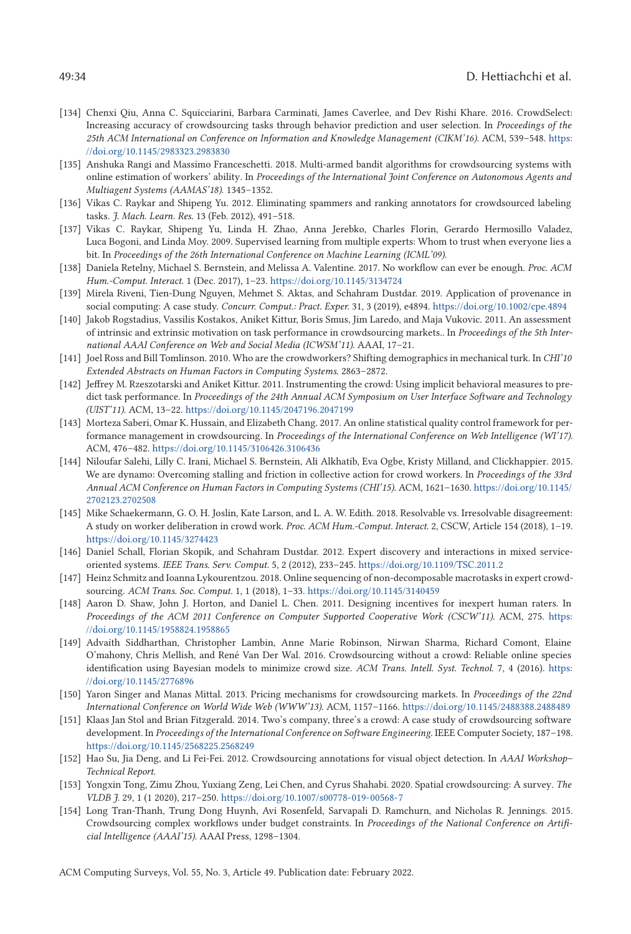#### <span id="page-33-0"></span>49:34 D. Hettiachchi et al.

- [134] Chenxi Qiu, Anna C. Squicciarini, Barbara Carminati, James Caverlee, and Dev Rishi Khare. 2016. CrowdSelect: Increasing accuracy of crowdsourcing tasks through behavior prediction and user selection. In *Proceedings of the [25th ACM International on Conference on Information and Knowledge Management \(CIKM'16\)](https://doi.org/10.1145/2983323.2983830)*. ACM, 539–548. https: //doi.org/10.1145/2983323.2983830
- [135] Anshuka Rangi and Massimo Franceschetti. 2018. Multi-armed bandit algorithms for crowdsourcing systems with online estimation of workers' ability. In *Proceedings of the International Joint Conference on Autonomous Agents and Multiagent Systems (AAMAS'18)*. 1345–1352.
- [136] Vikas C. Raykar and Shipeng Yu. 2012. Eliminating spammers and ranking annotators for crowdsourced labeling tasks. *J. Mach. Learn. Res.* 13 (Feb. 2012), 491–518.
- [137] Vikas C. Raykar, Shipeng Yu, Linda H. Zhao, Anna Jerebko, Charles Florin, Gerardo Hermosillo Valadez, Luca Bogoni, and Linda Moy. 2009. Supervised learning from multiple experts: Whom to trust when everyone lies a bit. In *Proceedings of the 26th International Conference on Machine Learning (ICML'09)*.
- [138] Daniela Retelny, Michael S. Bernstein, and Melissa A. Valentine. 2017. No workflow can ever be enough. *Proc. ACM Hum.-Comput. Interact.* 1 (Dec. 2017), 1–23. <https://doi.org/10.1145/3134724>
- [139] Mirela Riveni, Tien-Dung Nguyen, Mehmet S. Aktas, and Schahram Dustdar. 2019. Application of provenance in social computing: A case study. *Concurr. Comput.: Pract. Exper.* 31, 3 (2019), e4894. <https://doi.org/10.1002/cpe.4894>
- [140] Jakob Rogstadius, Vassilis Kostakos, Aniket Kittur, Boris Smus, Jim Laredo, and Maja Vukovic. 2011. An assessment of intrinsic and extrinsic motivation on task performance in crowdsourcing markets.. In *Proceedings of the 5th International AAAI Conference on Web and Social Media (ICWSM'11)*. AAAI, 17–21.
- [141] Joel Ross and Bill Tomlinson. 2010. Who are the crowdworkers? Shifting demographics in mechanical turk. In *CHI'10 Extended Abstracts on Human Factors in Computing Systems*. 2863–2872.
- [142] Jeffrey M. Rzeszotarski and Aniket Kittur. 2011. Instrumenting the crowd: Using implicit behavioral measures to predict task performance. In *Proceedings of the 24th Annual ACM Symposium on User Interface Software and Technology (UIST'11)*. ACM, 13–22. <https://doi.org/10.1145/2047196.2047199>
- [143] Morteza Saberi, Omar K. Hussain, and Elizabeth Chang. 2017. An online statistical quality control framework for performance management in crowdsourcing. In *Proceedings of the International Conference on Web Intelligence (WI'17)*. ACM, 476–482. <https://doi.org/10.1145/3106426.3106436>
- [144] Niloufar Salehi, Lilly C. Irani, Michael S. Bernstein, Ali Alkhatib, Eva Ogbe, Kristy Milland, and Clickhappier. 2015. We are dynamo: Overcoming stalling and friction in collective action for crowd workers. In *Proceedings of the 33rd [Annual ACM Conference on Human Factors in Computing Systems \(CHI'15\)](https://doi.org/10.1145/2702123.2702508)*. ACM, 1621–1630. https://doi.org/10.1145/ 2702123.2702508
- [145] Mike Schaekermann, G. O. H. Joslin, Kate Larson, and L. A. W. Edith. 2018. Resolvable vs. Irresolvable disagreement: A study on worker deliberation in crowd work. *Proc. ACM Hum.-Comput. Interact.* 2, CSCW, Article 154 (2018), 1–19. <https://doi.org/10.1145/3274423>
- [146] Daniel Schall, Florian Skopik, and Schahram Dustdar. 2012. Expert discovery and interactions in mixed serviceoriented systems. *IEEE Trans. Serv. Comput.* 5, 2 (2012), 233–245. <https://doi.org/10.1109/TSC.2011.2>
- [147] Heinz Schmitz and Ioanna Lykourentzou. 2018. Online sequencing of non-decomposable macrotasks in expert crowdsourcing. *ACM Trans. Soc. Comput.* 1, 1 (2018), 1–33. <https://doi.org/10.1145/3140459>
- [148] Aaron D. Shaw, John J. Horton, and Daniel L. Chen. 2011. Designing incentives for inexpert human raters. In *[Proceedings of the ACM 2011 Conference on Computer Supported Cooperative Work \(CSCW'11\)](https://doi.org/10.1145/1958824.1958865)*. ACM, 275. https: //doi.org/10.1145/1958824.1958865
- [149] Advaith Siddharthan, Christopher Lambin, Anne Marie Robinson, Nirwan Sharma, Richard Comont, Elaine O'mahony, Chris Mellish, and René Van Der Wal. 2016. Crowdsourcing without a crowd: Reliable online species [identification using Bayesian models to minimize crowd size.](https://doi.org/10.1145/2776896) *ACM Trans. Intell. Syst. Technol.* 7, 4 (2016). https: //doi.org/10.1145/2776896
- [150] Yaron Singer and Manas Mittal. 2013. Pricing mechanisms for crowdsourcing markets. In *Proceedings of the 22nd International Conference on World Wide Web (WWW'13)*. ACM, 1157–1166. <https://doi.org/10.1145/2488388.2488489>
- [151] Klaas Jan Stol and Brian Fitzgerald. 2014. Two's company, three's a crowd: A case study of crowdsourcing software development. In *Proceedings of the International Conference on Software Engineering*. IEEE Computer Society, 187–198. <https://doi.org/10.1145/2568225.2568249>
- [152] Hao Su, Jia Deng, and Li Fei-Fei. 2012. Crowdsourcing annotations for visual object detection. In *AAAI Workshop– Technical Report*.
- [153] Yongxin Tong, Zimu Zhou, Yuxiang Zeng, Lei Chen, and Cyrus Shahabi. 2020. Spatial crowdsourcing: A survey. *The VLDB J.* 29, 1 (1 2020), 217–250. <https://doi.org/10.1007/s00778-019-00568-7>
- [154] Long Tran-Thanh, Trung Dong Huynh, Avi Rosenfeld, Sarvapali D. Ramchurn, and Nicholas R. Jennings. 2015. Crowdsourcing complex workflows under budget constraints. In *Proceedings of the National Conference on Artificial Intelligence (AAAI'15)*. AAAI Press, 1298–1304.

ACM Computing Surveys, Vol. 55, No. 3, Article 49. Publication date: February 2022.